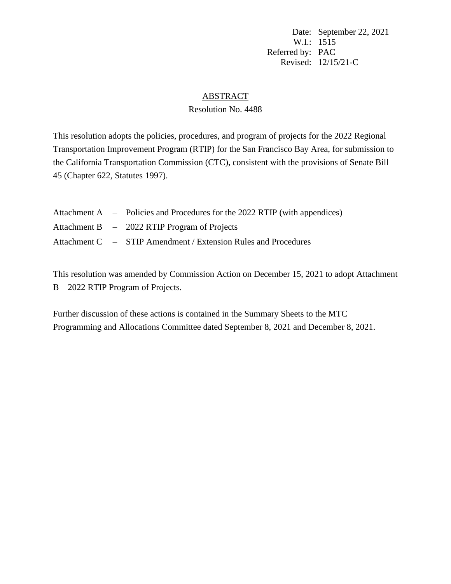Date: September 22, 2021 W.I.: 1515 Referred by: PAC Revised: 12/15/21-C

#### **ABSTRACT**

#### Resolution No. 4488

This resolution adopts the policies, procedures, and program of projects for the 2022 Regional Transportation Improvement Program (RTIP) for the San Francisco Bay Area, for submission to the California Transportation Commission (CTC), consistent with the provisions of Senate Bill 45 (Chapter 622, Statutes 1997).

|  | Attachment A – Policies and Procedures for the 2022 RTIP (with appendices) |
|--|----------------------------------------------------------------------------|
|  | Attachment B – 2022 RTIP Program of Projects                               |
|  | Attachment C – STIP Amendment / Extension Rules and Procedures             |

This resolution was amended by Commission Action on December 15, 2021 to adopt Attachment B – 2022 RTIP Program of Projects.

Further discussion of these actions is contained in the Summary Sheets to the MTC Programming and Allocations Committee dated September 8, 2021 and December 8, 2021.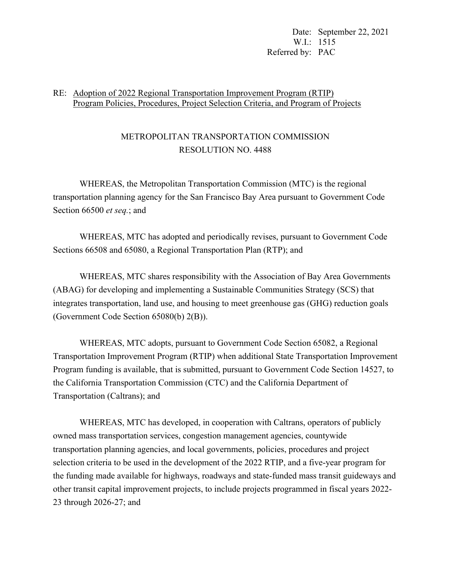Date: September 22, 2021 W.I.: 1515 Referred by: PAC

#### RE: Adoption of 2022 Regional Transportation Improvement Program (RTIP) Program Policies, Procedures, Project Selection Criteria, and Program of Projects

# METROPOLITAN TRANSPORTATION COMMISSION RESOLUTION NO. 4488

 WHEREAS, the Metropolitan Transportation Commission (MTC) is the regional transportation planning agency for the San Francisco Bay Area pursuant to Government Code Section 66500 *et seq.*; and

 WHEREAS, MTC has adopted and periodically revises, pursuant to Government Code Sections 66508 and 65080, a Regional Transportation Plan (RTP); and

 WHEREAS, MTC shares responsibility with the Association of Bay Area Governments (ABAG) for developing and implementing a Sustainable Communities Strategy (SCS) that integrates transportation, land use, and housing to meet greenhouse gas (GHG) reduction goals (Government Code Section 65080(b) 2(B)).

 WHEREAS, MTC adopts, pursuant to Government Code Section 65082, a Regional Transportation Improvement Program (RTIP) when additional State Transportation Improvement Program funding is available, that is submitted, pursuant to Government Code Section 14527, to the California Transportation Commission (CTC) and the California Department of Transportation (Caltrans); and

 WHEREAS, MTC has developed, in cooperation with Caltrans, operators of publicly owned mass transportation services, congestion management agencies, countywide transportation planning agencies, and local governments, policies, procedures and project selection criteria to be used in the development of the 2022 RTIP, and a five-year program for the funding made available for highways, roadways and state-funded mass transit guideways and other transit capital improvement projects, to include projects programmed in fiscal years 2022- 23 through 2026-27; and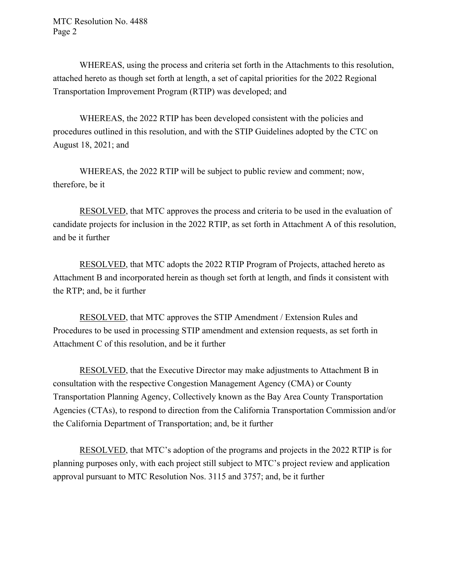MTC Resolution No. 4488 Page 2

 WHEREAS, using the process and criteria set forth in the Attachments to this resolution, attached hereto as though set forth at length, a set of capital priorities for the 2022 Regional Transportation Improvement Program (RTIP) was developed; and

WHEREAS, the 2022 RTIP has been developed consistent with the policies and procedures outlined in this resolution, and with the STIP Guidelines adopted by the CTC on August 18, 2021; and

 WHEREAS, the 2022 RTIP will be subject to public review and comment; now, therefore, be it

 RESOLVED, that MTC approves the process and criteria to be used in the evaluation of candidate projects for inclusion in the 2022 RTIP, as set forth in Attachment A of this resolution, and be it further

 RESOLVED, that MTC adopts the 2022 RTIP Program of Projects, attached hereto as Attachment B and incorporated herein as though set forth at length, and finds it consistent with the RTP; and, be it further

 RESOLVED, that MTC approves the STIP Amendment / Extension Rules and Procedures to be used in processing STIP amendment and extension requests, as set forth in Attachment C of this resolution, and be it further

 RESOLVED, that the Executive Director may make adjustments to Attachment B in consultation with the respective Congestion Management Agency (CMA) or County Transportation Planning Agency, Collectively known as the Bay Area County Transportation Agencies (CTAs), to respond to direction from the California Transportation Commission and/or the California Department of Transportation; and, be it further

 RESOLVED, that MTC's adoption of the programs and projects in the 2022 RTIP is for planning purposes only, with each project still subject to MTC's project review and application approval pursuant to MTC Resolution Nos. 3115 and 3757; and, be it further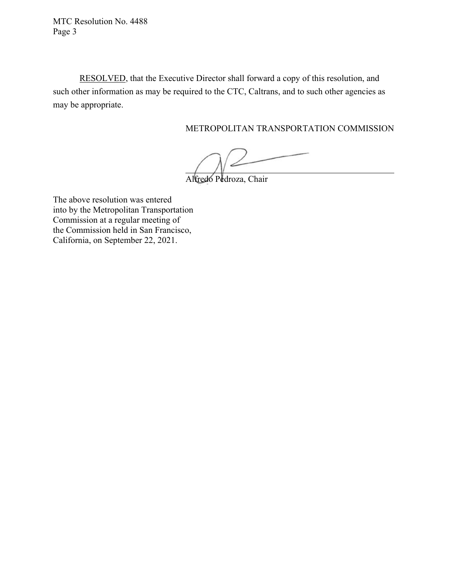MTC Resolution No. 4488 Page 3

 RESOLVED, that the Executive Director shall forward a copy of this resolution, and such other information as may be required to the CTC, Caltrans, and to such other agencies as may be appropriate.

METROPOLITAN TRANSPORTATION COMMISSION

Alfredo Pedroza, Chair

The above resolution was entered into by the Metropolitan Transportation Commission at a regular meeting of the Commission held in San Francisco, California, on September 22, 2021.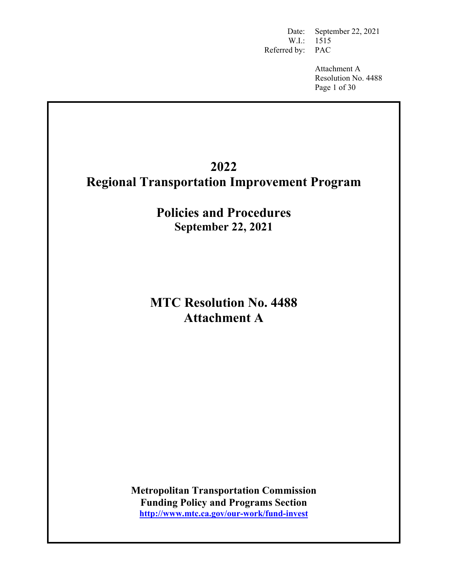Date: September 22, 2021 W.I.: 1515 Referred by: PAC

> Attachment A Resolution No. 4488 Page 1 of 30

# **2022 Regional Transportation Improvement Program**

**Policies and Procedures September 22, 2021** 

# **MTC Resolution No. 4488 Attachment A**

**Metropolitan Transportation Commission Funding Policy and Programs Section http://www.mtc.ca.gov/our-work/fund-invest**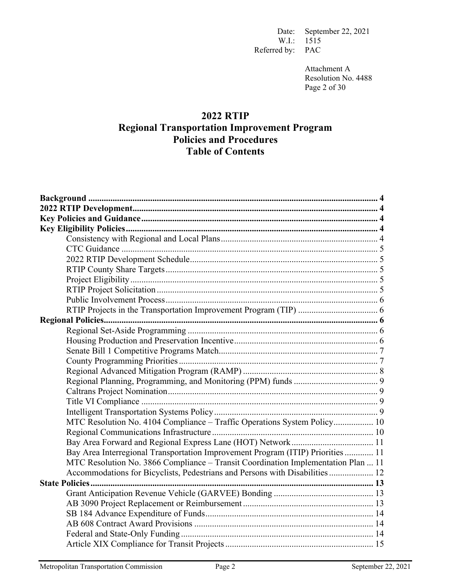Date: September 22, 2021 W.I.: 1515 Referred by: PAC

> Attachment A Resolution No. 4488 Page 2 of 30

# **2022 RTIP Regional Transportation Improvement Program Policies and Procedures Table of Contents**

| MTC Resolution No. 4104 Compliance - Traffic Operations System Policy 10          |
|-----------------------------------------------------------------------------------|
|                                                                                   |
|                                                                                   |
| Bay Area Interregional Transportation Improvement Program (ITIP) Priorities  11   |
| MTC Resolution No. 3866 Compliance - Transit Coordination Implementation Plan  11 |
| Accommodations for Bicyclists, Pedestrians and Persons with Disabilities  12      |
| <b>State Policies </b>                                                            |
|                                                                                   |
|                                                                                   |
|                                                                                   |
|                                                                                   |
|                                                                                   |
|                                                                                   |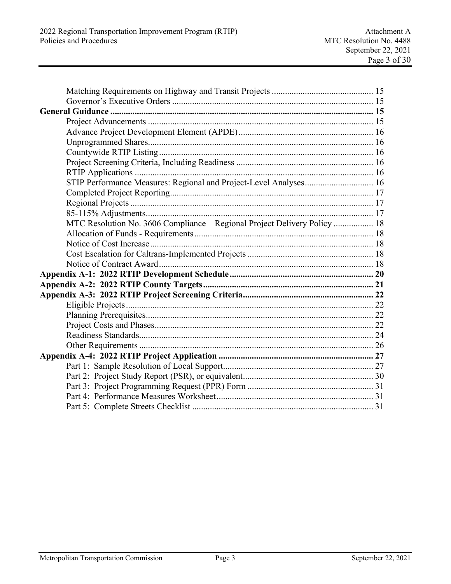| STIP Performance Measures: Regional and Project-Level Analyses 16         |  |
|---------------------------------------------------------------------------|--|
|                                                                           |  |
|                                                                           |  |
|                                                                           |  |
| MTC Resolution No. 3606 Compliance - Regional Project Delivery Policy  18 |  |
|                                                                           |  |
|                                                                           |  |
|                                                                           |  |
|                                                                           |  |
|                                                                           |  |
|                                                                           |  |
|                                                                           |  |
|                                                                           |  |
|                                                                           |  |
|                                                                           |  |
|                                                                           |  |
|                                                                           |  |
|                                                                           |  |
|                                                                           |  |
|                                                                           |  |
|                                                                           |  |
|                                                                           |  |
|                                                                           |  |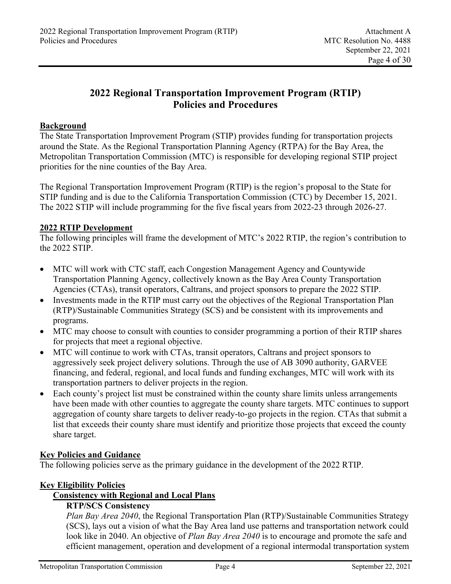# **2022 Regional Transportation Improvement Program (RTIP) Policies and Procedures**

## **Background**

The State Transportation Improvement Program (STIP) provides funding for transportation projects around the State. As the Regional Transportation Planning Agency (RTPA) for the Bay Area, the Metropolitan Transportation Commission (MTC) is responsible for developing regional STIP project priorities for the nine counties of the Bay Area.

The Regional Transportation Improvement Program (RTIP) is the region's proposal to the State for STIP funding and is due to the California Transportation Commission (CTC) by December 15, 2021. The 2022 STIP will include programming for the five fiscal years from 2022-23 through 2026-27.

#### **2022 RTIP Development**

The following principles will frame the development of MTC's 2022 RTIP, the region's contribution to the 2022 STIP.

- MTC will work with CTC staff, each Congestion Management Agency and Countywide Transportation Planning Agency, collectively known as the Bay Area County Transportation Agencies (CTAs), transit operators, Caltrans, and project sponsors to prepare the 2022 STIP.
- Investments made in the RTIP must carry out the objectives of the Regional Transportation Plan (RTP)/Sustainable Communities Strategy (SCS) and be consistent with its improvements and programs.
- MTC may choose to consult with counties to consider programming a portion of their RTIP shares for projects that meet a regional objective.
- MTC will continue to work with CTAs, transit operators, Caltrans and project sponsors to aggressively seek project delivery solutions. Through the use of AB 3090 authority, GARVEE financing, and federal, regional, and local funds and funding exchanges, MTC will work with its transportation partners to deliver projects in the region.
- Each county's project list must be constrained within the county share limits unless arrangements have been made with other counties to aggregate the county share targets. MTC continues to support aggregation of county share targets to deliver ready-to-go projects in the region. CTAs that submit a list that exceeds their county share must identify and prioritize those projects that exceed the county share target.

# **Key Policies and Guidance**

The following policies serve as the primary guidance in the development of the 2022 RTIP.

#### **Key Eligibility Policies**

# **Consistency with Regional and Local Plans**

# **RTP/SCS Consistency**

*Plan Bay Area 2040*, the Regional Transportation Plan (RTP)/Sustainable Communities Strategy (SCS), lays out a vision of what the Bay Area land use patterns and transportation network could look like in 2040. An objective of *Plan Bay Area 2040* is to encourage and promote the safe and efficient management, operation and development of a regional intermodal transportation system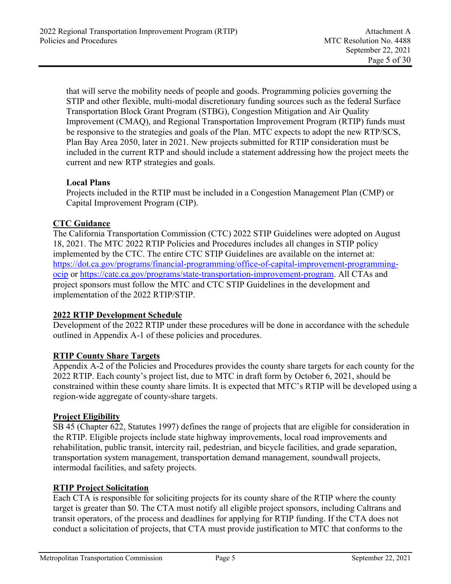that will serve the mobility needs of people and goods. Programming policies governing the STIP and other flexible, multi-modal discretionary funding sources such as the federal Surface Transportation Block Grant Program (STBG), Congestion Mitigation and Air Quality Improvement (CMAQ), and Regional Transportation Improvement Program (RTIP) funds must be responsive to the strategies and goals of the Plan. MTC expects to adopt the new RTP/SCS, Plan Bay Area 2050, later in 2021. New projects submitted for RTIP consideration must be included in the current RTP and should include a statement addressing how the project meets the current and new RTP strategies and goals.

# **Local Plans**

Projects included in the RTIP must be included in a Congestion Management Plan (CMP) or Capital Improvement Program (CIP).

# **CTC Guidance**

The California Transportation Commission (CTC) 2022 STIP Guidelines were adopted on August 18, 2021. The MTC 2022 RTIP Policies and Procedures includes all changes in STIP policy implemented by the CTC. The entire CTC STIP Guidelines are available on the internet at: https://dot.ca.gov/programs/financial-programming/office-of-capital-improvement-programmingocip or https://catc.ca.gov/programs/state-transportation-improvement-program. All CTAs and project sponsors must follow the MTC and CTC STIP Guidelines in the development and implementation of the 2022 RTIP/STIP.

# **2022 RTIP Development Schedule**

Development of the 2022 RTIP under these procedures will be done in accordance with the schedule outlined in Appendix A-1 of these policies and procedures.

# **RTIP County Share Targets**

Appendix A-2 of the Policies and Procedures provides the county share targets for each county for the 2022 RTIP. Each county's project list, due to MTC in draft form by October 6, 2021, should be constrained within these county share limits. It is expected that MTC's RTIP will be developed using a region-wide aggregate of county-share targets.

# **Project Eligibility**

SB 45 (Chapter 622, Statutes 1997) defines the range of projects that are eligible for consideration in the RTIP. Eligible projects include state highway improvements, local road improvements and rehabilitation, public transit, intercity rail, pedestrian, and bicycle facilities, and grade separation, transportation system management, transportation demand management, soundwall projects, intermodal facilities, and safety projects.

# **RTIP Project Solicitation**

Each CTA is responsible for soliciting projects for its county share of the RTIP where the county target is greater than \$0. The CTA must notify all eligible project sponsors, including Caltrans and transit operators, of the process and deadlines for applying for RTIP funding. If the CTA does not conduct a solicitation of projects, that CTA must provide justification to MTC that conforms to the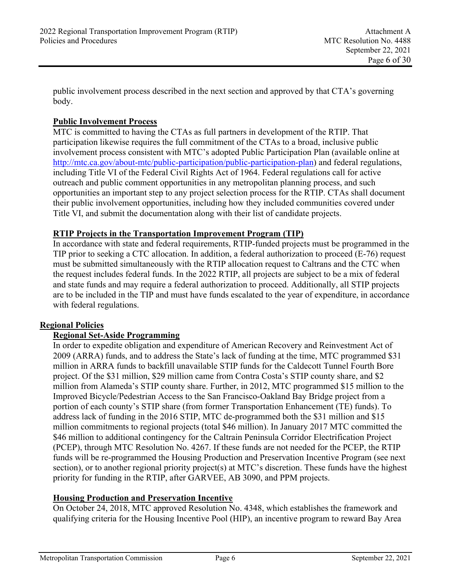public involvement process described in the next section and approved by that CTA's governing body.

# **Public Involvement Process**

MTC is committed to having the CTAs as full partners in development of the RTIP. That participation likewise requires the full commitment of the CTAs to a broad, inclusive public involvement process consistent with MTC's adopted Public Participation Plan (available online at http://mtc.ca.gov/about-mtc/public-participation/public-participation-plan) and federal regulations, including Title VI of the Federal Civil Rights Act of 1964. Federal regulations call for active outreach and public comment opportunities in any metropolitan planning process, and such opportunities an important step to any project selection process for the RTIP. CTAs shall document their public involvement opportunities, including how they included communities covered under Title VI, and submit the documentation along with their list of candidate projects.

# **RTIP Projects in the Transportation Improvement Program (TIP)**

In accordance with state and federal requirements, RTIP-funded projects must be programmed in the TIP prior to seeking a CTC allocation. In addition, a federal authorization to proceed (E-76) request must be submitted simultaneously with the RTIP allocation request to Caltrans and the CTC when the request includes federal funds. In the 2022 RTIP, all projects are subject to be a mix of federal and state funds and may require a federal authorization to proceed. Additionally, all STIP projects are to be included in the TIP and must have funds escalated to the year of expenditure, in accordance with federal regulations.

# **Regional Policies**

# **Regional Set-Aside Programming**

In order to expedite obligation and expenditure of American Recovery and Reinvestment Act of 2009 (ARRA) funds, and to address the State's lack of funding at the time, MTC programmed \$31 million in ARRA funds to backfill unavailable STIP funds for the Caldecott Tunnel Fourth Bore project. Of the \$31 million, \$29 million came from Contra Costa's STIP county share, and \$2 million from Alameda's STIP county share. Further, in 2012, MTC programmed \$15 million to the Improved Bicycle/Pedestrian Access to the San Francisco-Oakland Bay Bridge project from a portion of each county's STIP share (from former Transportation Enhancement (TE) funds). To address lack of funding in the 2016 STIP, MTC de-programmed both the \$31 million and \$15 million commitments to regional projects (total \$46 million). In January 2017 MTC committed the \$46 million to additional contingency for the Caltrain Peninsula Corridor Electrification Project (PCEP), through MTC Resolution No. 4267. If these funds are not needed for the PCEP, the RTIP funds will be re-programmed the Housing Production and Preservation Incentive Program (see next section), or to another regional priority project(s) at MTC's discretion. These funds have the highest priority for funding in the RTIP, after GARVEE, AB 3090, and PPM projects.

# **Housing Production and Preservation Incentive**

On October 24, 2018, MTC approved Resolution No. 4348, which establishes the framework and qualifying criteria for the Housing Incentive Pool (HIP), an incentive program to reward Bay Area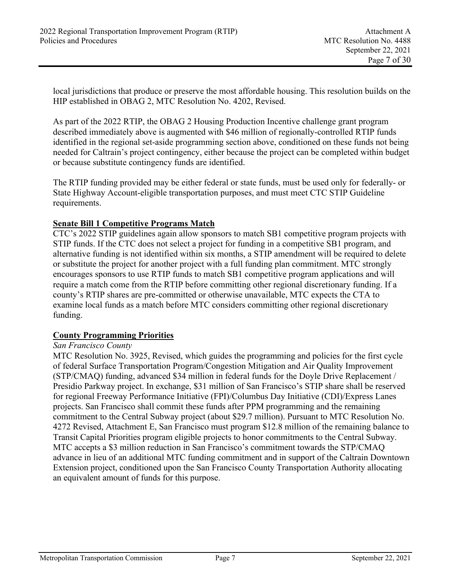local jurisdictions that produce or preserve the most affordable housing. This resolution builds on the HIP established in OBAG 2, MTC Resolution No. 4202, Revised.

As part of the 2022 RTIP, the OBAG 2 Housing Production Incentive challenge grant program described immediately above is augmented with \$46 million of regionally-controlled RTIP funds identified in the regional set-aside programming section above, conditioned on these funds not being needed for Caltrain's project contingency, either because the project can be completed within budget or because substitute contingency funds are identified.

The RTIP funding provided may be either federal or state funds, must be used only for federally- or State Highway Account-eligible transportation purposes, and must meet CTC STIP Guideline requirements.

### **Senate Bill 1 Competitive Programs Match**

CTC's 2022 STIP guidelines again allow sponsors to match SB1 competitive program projects with STIP funds. If the CTC does not select a project for funding in a competitive SB1 program, and alternative funding is not identified within six months, a STIP amendment will be required to delete or substitute the project for another project with a full funding plan commitment. MTC strongly encourages sponsors to use RTIP funds to match SB1 competitive program applications and will require a match come from the RTIP before committing other regional discretionary funding. If a county's RTIP shares are pre-committed or otherwise unavailable, MTC expects the CTA to examine local funds as a match before MTC considers committing other regional discretionary funding.

#### **County Programming Priorities**

#### *San Francisco County*

MTC Resolution No. 3925, Revised, which guides the programming and policies for the first cycle of federal Surface Transportation Program/Congestion Mitigation and Air Quality Improvement (STP/CMAQ) funding, advanced \$34 million in federal funds for the Doyle Drive Replacement / Presidio Parkway project. In exchange, \$31 million of San Francisco's STIP share shall be reserved for regional Freeway Performance Initiative (FPI)/Columbus Day Initiative (CDI)/Express Lanes projects. San Francisco shall commit these funds after PPM programming and the remaining commitment to the Central Subway project (about \$29.7 million). Pursuant to MTC Resolution No. 4272 Revised, Attachment E, San Francisco must program \$12.8 million of the remaining balance to Transit Capital Priorities program eligible projects to honor commitments to the Central Subway. MTC accepts a \$3 million reduction in San Francisco's commitment towards the STP/CMAQ advance in lieu of an additional MTC funding commitment and in support of the Caltrain Downtown Extension project, conditioned upon the San Francisco County Transportation Authority allocating an equivalent amount of funds for this purpose.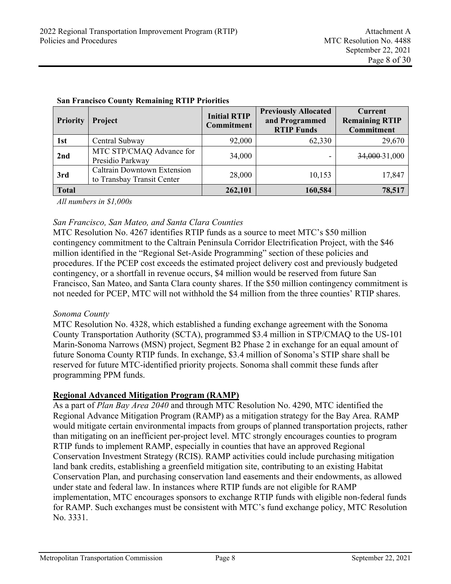| Priority     | Project                                                          | <b>Initial RTIP</b><br>Commitment | <b>Previously Allocated</b><br>and Programmed<br><b>RTIP Funds</b> | <b>Current</b><br><b>Remaining RTIP</b><br><b>Commitment</b> |
|--------------|------------------------------------------------------------------|-----------------------------------|--------------------------------------------------------------------|--------------------------------------------------------------|
| 1st          | Central Subway                                                   | 92,000                            | 62,330                                                             | 29,670                                                       |
| 2nd          | MTC STP/CMAQ Advance for<br>Presidio Parkway                     | 34,000                            | -                                                                  | 34,000-31,000                                                |
| 3rd          | <b>Caltrain Downtown Extension</b><br>to Transbay Transit Center | 28,000                            | 10,153                                                             | 17,847                                                       |
| <b>Total</b> |                                                                  | 262,101                           | 160,584                                                            | 78,517                                                       |

#### **San Francisco County Remaining RTIP Priorities**

*All numbers in \$1,000s* 

#### *San Francisco, San Mateo, and Santa Clara Counties*

MTC Resolution No. 4267 identifies RTIP funds as a source to meet MTC's \$50 million contingency commitment to the Caltrain Peninsula Corridor Electrification Project, with the \$46 million identified in the "Regional Set-Aside Programming" section of these policies and procedures. If the PCEP cost exceeds the estimated project delivery cost and previously budgeted contingency, or a shortfall in revenue occurs, \$4 million would be reserved from future San Francisco, San Mateo, and Santa Clara county shares. If the \$50 million contingency commitment is not needed for PCEP, MTC will not withhold the \$4 million from the three counties' RTIP shares.

#### *Sonoma County*

MTC Resolution No. 4328, which established a funding exchange agreement with the Sonoma County Transportation Authority (SCTA), programmed \$3.4 million in STP/CMAQ to the US-101 Marin-Sonoma Narrows (MSN) project, Segment B2 Phase 2 in exchange for an equal amount of future Sonoma County RTIP funds. In exchange, \$3.4 million of Sonoma's STIP share shall be reserved for future MTC-identified priority projects. Sonoma shall commit these funds after programming PPM funds.

#### **Regional Advanced Mitigation Program (RAMP)**

As a part of *Plan Bay Area 2040* and through MTC Resolution No. 4290, MTC identified the Regional Advance Mitigation Program (RAMP) as a mitigation strategy for the Bay Area. RAMP would mitigate certain environmental impacts from groups of planned transportation projects, rather than mitigating on an inefficient per-project level. MTC strongly encourages counties to program RTIP funds to implement RAMP, especially in counties that have an approved Regional Conservation Investment Strategy (RCIS). RAMP activities could include purchasing mitigation land bank credits, establishing a greenfield mitigation site, contributing to an existing Habitat Conservation Plan, and purchasing conservation land easements and their endowments, as allowed under state and federal law. In instances where RTIP funds are not eligible for RAMP implementation, MTC encourages sponsors to exchange RTIP funds with eligible non-federal funds for RAMP. Such exchanges must be consistent with MTC's fund exchange policy, MTC Resolution No. 3331.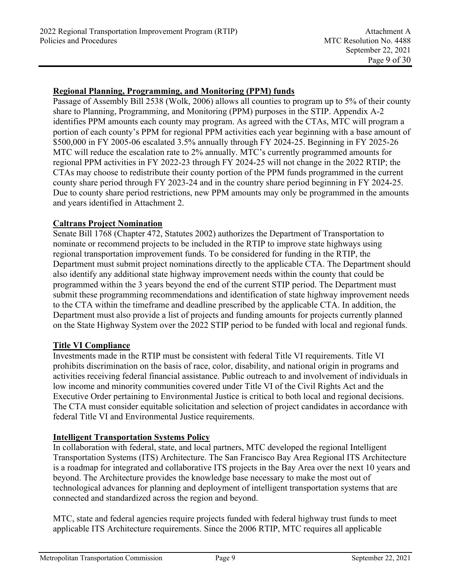## **Regional Planning, Programming, and Monitoring (PPM) funds**

Passage of Assembly Bill 2538 (Wolk, 2006) allows all counties to program up to 5% of their county share to Planning, Programming, and Monitoring (PPM) purposes in the STIP. Appendix A-2 identifies PPM amounts each county may program. As agreed with the CTAs, MTC will program a portion of each county's PPM for regional PPM activities each year beginning with a base amount of \$500,000 in FY 2005-06 escalated 3.5% annually through FY 2024-25. Beginning in FY 2025-26 MTC will reduce the escalation rate to 2% annually. MTC's currently programmed amounts for regional PPM activities in FY 2022-23 through FY 2024-25 will not change in the 2022 RTIP; the CTAs may choose to redistribute their county portion of the PPM funds programmed in the current county share period through FY 2023-24 and in the country share period beginning in FY 2024-25. Due to county share period restrictions, new PPM amounts may only be programmed in the amounts and years identified in Attachment 2.

#### **Caltrans Project Nomination**

Senate Bill 1768 (Chapter 472, Statutes 2002) authorizes the Department of Transportation to nominate or recommend projects to be included in the RTIP to improve state highways using regional transportation improvement funds. To be considered for funding in the RTIP, the Department must submit project nominations directly to the applicable CTA. The Department should also identify any additional state highway improvement needs within the county that could be programmed within the 3 years beyond the end of the current STIP period. The Department must submit these programming recommendations and identification of state highway improvement needs to the CTA within the timeframe and deadline prescribed by the applicable CTA. In addition, the Department must also provide a list of projects and funding amounts for projects currently planned on the State Highway System over the 2022 STIP period to be funded with local and regional funds.

#### **Title VI Compliance**

Investments made in the RTIP must be consistent with federal Title VI requirements. Title VI prohibits discrimination on the basis of race, color, disability, and national origin in programs and activities receiving federal financial assistance. Public outreach to and involvement of individuals in low income and minority communities covered under Title VI of the Civil Rights Act and the Executive Order pertaining to Environmental Justice is critical to both local and regional decisions. The CTA must consider equitable solicitation and selection of project candidates in accordance with federal Title VI and Environmental Justice requirements.

#### **Intelligent Transportation Systems Policy**

In collaboration with federal, state, and local partners, MTC developed the regional Intelligent Transportation Systems (ITS) Architecture. The San Francisco Bay Area Regional ITS Architecture is a roadmap for integrated and collaborative ITS projects in the Bay Area over the next 10 years and beyond. The Architecture provides the knowledge base necessary to make the most out of technological advances for planning and deployment of intelligent transportation systems that are connected and standardized across the region and beyond.

MTC, state and federal agencies require projects funded with federal highway trust funds to meet applicable ITS Architecture requirements. Since the 2006 RTIP, MTC requires all applicable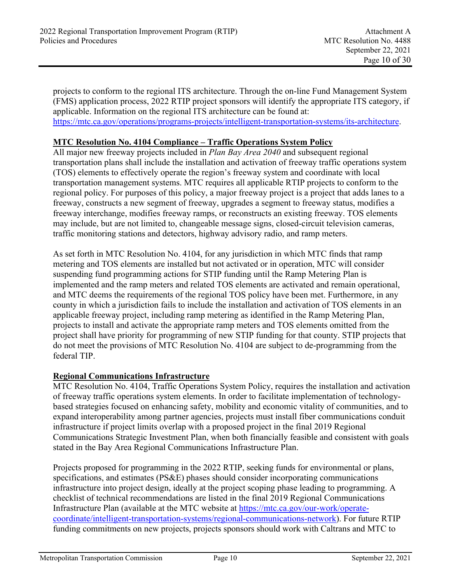projects to conform to the regional ITS architecture. Through the on-line Fund Management System (FMS) application process, 2022 RTIP project sponsors will identify the appropriate ITS category, if applicable. Information on the regional ITS architecture can be found at: https://mtc.ca.gov/operations/programs-projects/intelligent-transportation-systems/its-architecture.

# **MTC Resolution No. 4104 Compliance – Traffic Operations System Policy**

All major new freeway projects included in *Plan Bay Area 2040* and subsequent regional transportation plans shall include the installation and activation of freeway traffic operations system (TOS) elements to effectively operate the region's freeway system and coordinate with local transportation management systems. MTC requires all applicable RTIP projects to conform to the regional policy. For purposes of this policy, a major freeway project is a project that adds lanes to a freeway, constructs a new segment of freeway, upgrades a segment to freeway status, modifies a freeway interchange, modifies freeway ramps, or reconstructs an existing freeway. TOS elements may include, but are not limited to, changeable message signs, closed-circuit television cameras, traffic monitoring stations and detectors, highway advisory radio, and ramp meters.

As set forth in MTC Resolution No. 4104, for any jurisdiction in which MTC finds that ramp metering and TOS elements are installed but not activated or in operation, MTC will consider suspending fund programming actions for STIP funding until the Ramp Metering Plan is implemented and the ramp meters and related TOS elements are activated and remain operational, and MTC deems the requirements of the regional TOS policy have been met. Furthermore, in any county in which a jurisdiction fails to include the installation and activation of TOS elements in an applicable freeway project, including ramp metering as identified in the Ramp Metering Plan, projects to install and activate the appropriate ramp meters and TOS elements omitted from the project shall have priority for programming of new STIP funding for that county. STIP projects that do not meet the provisions of MTC Resolution No. 4104 are subject to de-programming from the federal TIP.

#### **Regional Communications Infrastructure**

MTC Resolution No. 4104, Traffic Operations System Policy, requires the installation and activation of freeway traffic operations system elements. In order to facilitate implementation of technologybased strategies focused on enhancing safety, mobility and economic vitality of communities, and to expand interoperability among partner agencies, projects must install fiber communications conduit infrastructure if project limits overlap with a proposed project in the final 2019 Regional Communications Strategic Investment Plan, when both financially feasible and consistent with goals stated in the Bay Area Regional Communications Infrastructure Plan.

Projects proposed for programming in the 2022 RTIP, seeking funds for environmental or plans, specifications, and estimates (PS&E) phases should consider incorporating communications infrastructure into project design, ideally at the project scoping phase leading to programming. A checklist of technical recommendations are listed in the final 2019 Regional Communications Infrastructure Plan (available at the MTC website at https://mtc.ca.gov/our-work/operatecoordinate/intelligent-transportation-systems/regional-communications-network). For future RTIP funding commitments on new projects, projects sponsors should work with Caltrans and MTC to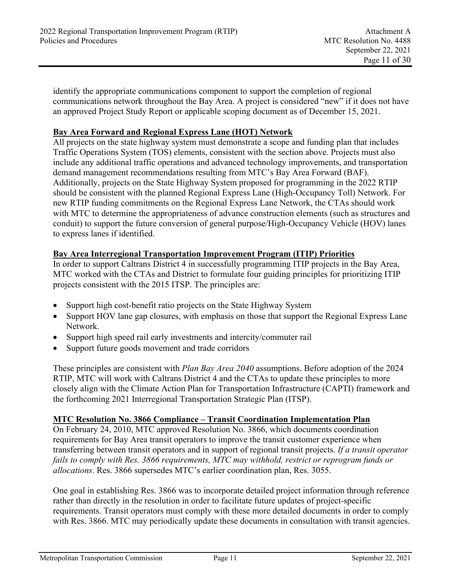identify the appropriate communications component to support the completion of regional communications network throughout the Bay Area. A project is considered "new" if it does not have an approved Project Study Report or applicable scoping document as of December 15, 2021.

#### **Bay Area Forward and Regional Express Lane (HOT) Network**

All projects on the state highway system must demonstrate a scope and funding plan that includes Traffic Operations System (TOS) elements, consistent with the section above. Projects must also include any additional traffic operations and advanced technology improvements, and transportation demand management recommendations resulting from MTC's Bay Area Forward (BAF). Additionally, projects on the State Highway System proposed for programming in the 2022 RTIP should be consistent with the planned Regional Express Lane (High-Occupancy Toll) Network. For new RTIP funding commitments on the Regional Express Lane Network, the CTAs should work with MTC to determine the appropriateness of advance construction elements (such as structures and conduit) to support the future conversion of general purpose/High-Occupancy Vehicle (HOV) lanes to express lanes if identified.

#### **Bay Area Interregional Transportation Improvement Program (ITIP) Priorities**

In order to support Caltrans District 4 in successfully programming ITIP projects in the Bay Area, MTC worked with the CTAs and District to formulate four guiding principles for prioritizing ITIP projects consistent with the 2015 ITSP. The principles are:

- Support high cost-benefit ratio projects on the State Highway System
- Support HOV lane gap closures, with emphasis on those that support the Regional Express Lane Network.
- Support high speed rail early investments and intercity/commuter rail
- Support future goods movement and trade corridors

These principles are consistent with *Plan Bay Area 2040* assumptions. Before adoption of the 2024 RTIP, MTC will work with Caltrans District 4 and the CTAs to update these principles to more closely align with the Climate Action Plan for Transportation Infrastructure (CAPTI) framework and the forthcoming 2021 Interregional Transportation Strategic Plan (ITSP).

#### **MTC Resolution No. 3866 Compliance – Transit Coordination Implementation Plan**

On February 24, 2010, MTC approved Resolution No. 3866, which documents coordination requirements for Bay Area transit operators to improve the transit customer experience when transferring between transit operators and in support of regional transit projects. *If a transit operator fails to comply with Res. 3866 requirements, MTC may withhold, restrict or reprogram funds or allocations*. Res. 3866 supersedes MTC's earlier coordination plan, Res. 3055.

One goal in establishing Res. 3866 was to incorporate detailed project information through reference rather than directly in the resolution in order to facilitate future updates of project-specific requirements. Transit operators must comply with these more detailed documents in order to comply with Res. 3866. MTC may periodically update these documents in consultation with transit agencies.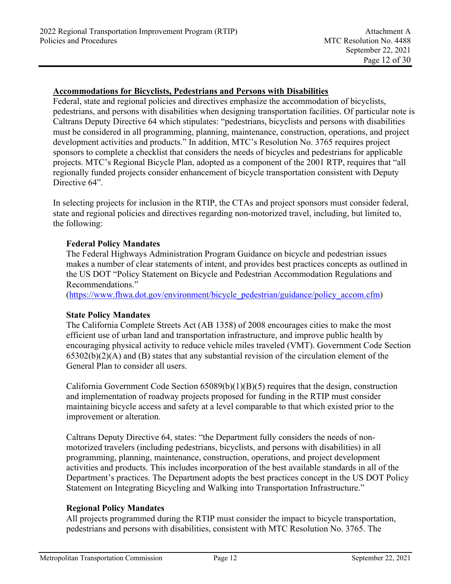#### **Accommodations for Bicyclists, Pedestrians and Persons with Disabilities**

Federal, state and regional policies and directives emphasize the accommodation of bicyclists, pedestrians, and persons with disabilities when designing transportation facilities. Of particular note is Caltrans Deputy Directive 64 which stipulates: "pedestrians, bicyclists and persons with disabilities must be considered in all programming, planning, maintenance, construction, operations, and project development activities and products." In addition, MTC's Resolution No. 3765 requires project sponsors to complete a checklist that considers the needs of bicycles and pedestrians for applicable projects. MTC's Regional Bicycle Plan, adopted as a component of the 2001 RTP, requires that "all regionally funded projects consider enhancement of bicycle transportation consistent with Deputy Directive  $64$ ".

In selecting projects for inclusion in the RTIP, the CTAs and project sponsors must consider federal, state and regional policies and directives regarding non-motorized travel, including, but limited to, the following:

#### **Federal Policy Mandates**

The Federal Highways Administration Program Guidance on bicycle and pedestrian issues makes a number of clear statements of intent, and provides best practices concepts as outlined in the US DOT "Policy Statement on Bicycle and Pedestrian Accommodation Regulations and Recommendations."

(https://www.fhwa.dot.gov/environment/bicycle\_pedestrian/guidance/policy\_accom.cfm)

#### **State Policy Mandates**

The California Complete Streets Act (AB 1358) of 2008 encourages cities to make the most efficient use of urban land and transportation infrastructure, and improve public health by encouraging physical activity to reduce vehicle miles traveled (VMT). Government Code Section  $65302(b)(2)(A)$  and (B) states that any substantial revision of the circulation element of the General Plan to consider all users.

California Government Code Section 65089(b)(1)(B)(5) requires that the design, construction and implementation of roadway projects proposed for funding in the RTIP must consider maintaining bicycle access and safety at a level comparable to that which existed prior to the improvement or alteration.

Caltrans Deputy Directive 64, states: "the Department fully considers the needs of nonmotorized travelers (including pedestrians, bicyclists, and persons with disabilities) in all programming, planning, maintenance, construction, operations, and project development activities and products. This includes incorporation of the best available standards in all of the Department's practices. The Department adopts the best practices concept in the US DOT Policy Statement on Integrating Bicycling and Walking into Transportation Infrastructure."

# **Regional Policy Mandates**

All projects programmed during the RTIP must consider the impact to bicycle transportation, pedestrians and persons with disabilities, consistent with MTC Resolution No. 3765. The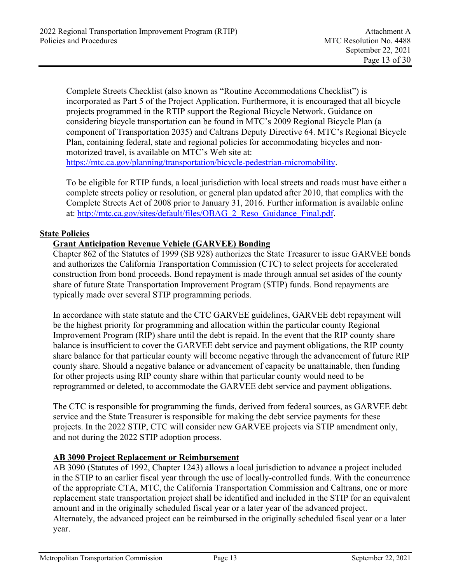Complete Streets Checklist (also known as "Routine Accommodations Checklist") is incorporated as Part 5 of the Project Application. Furthermore, it is encouraged that all bicycle projects programmed in the RTIP support the Regional Bicycle Network. Guidance on considering bicycle transportation can be found in MTC's 2009 Regional Bicycle Plan (a component of Transportation 2035) and Caltrans Deputy Directive 64. MTC's Regional Bicycle Plan, containing federal, state and regional policies for accommodating bicycles and nonmotorized travel, is available on MTC's Web site at: https://mtc.ca.gov/planning/transportation/bicycle-pedestrian-micromobility.

To be eligible for RTIP funds, a local jurisdiction with local streets and roads must have either a complete streets policy or resolution, or general plan updated after 2010, that complies with the Complete Streets Act of 2008 prior to January 31, 2016. Further information is available online at: http://mtc.ca.gov/sites/default/files/OBAG\_2\_Reso\_Guidance\_Final.pdf.

### **State Policies**

# **Grant Anticipation Revenue Vehicle (GARVEE) Bonding**

Chapter 862 of the Statutes of 1999 (SB 928) authorizes the State Treasurer to issue GARVEE bonds and authorizes the California Transportation Commission (CTC) to select projects for accelerated construction from bond proceeds. Bond repayment is made through annual set asides of the county share of future State Transportation Improvement Program (STIP) funds. Bond repayments are typically made over several STIP programming periods.

In accordance with state statute and the CTC GARVEE guidelines, GARVEE debt repayment will be the highest priority for programming and allocation within the particular county Regional Improvement Program (RIP) share until the debt is repaid. In the event that the RIP county share balance is insufficient to cover the GARVEE debt service and payment obligations, the RIP county share balance for that particular county will become negative through the advancement of future RIP county share. Should a negative balance or advancement of capacity be unattainable, then funding for other projects using RIP county share within that particular county would need to be reprogrammed or deleted, to accommodate the GARVEE debt service and payment obligations.

The CTC is responsible for programming the funds, derived from federal sources, as GARVEE debt service and the State Treasurer is responsible for making the debt service payments for these projects. In the 2022 STIP, CTC will consider new GARVEE projects via STIP amendment only, and not during the 2022 STIP adoption process.

#### **AB 3090 Project Replacement or Reimbursement**

AB 3090 (Statutes of 1992, Chapter 1243) allows a local jurisdiction to advance a project included in the STIP to an earlier fiscal year through the use of locally-controlled funds. With the concurrence of the appropriate CTA, MTC, the California Transportation Commission and Caltrans, one or more replacement state transportation project shall be identified and included in the STIP for an equivalent amount and in the originally scheduled fiscal year or a later year of the advanced project. Alternately, the advanced project can be reimbursed in the originally scheduled fiscal year or a later year.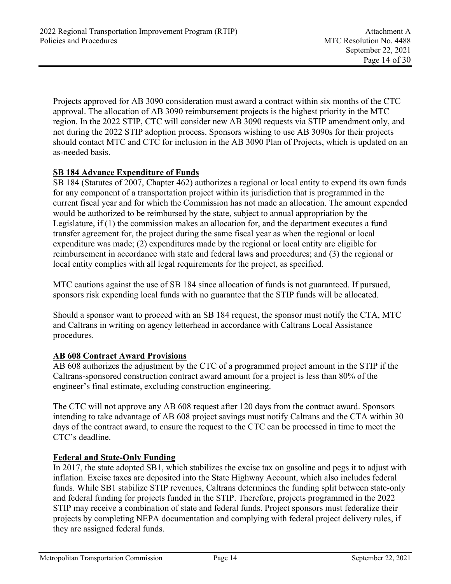Projects approved for AB 3090 consideration must award a contract within six months of the CTC approval. The allocation of AB 3090 reimbursement projects is the highest priority in the MTC region. In the 2022 STIP, CTC will consider new AB 3090 requests via STIP amendment only, and not during the 2022 STIP adoption process. Sponsors wishing to use AB 3090s for their projects should contact MTC and CTC for inclusion in the AB 3090 Plan of Projects, which is updated on an as-needed basis.

# **SB 184 Advance Expenditure of Funds**

SB 184 (Statutes of 2007, Chapter 462) authorizes a regional or local entity to expend its own funds for any component of a transportation project within its jurisdiction that is programmed in the current fiscal year and for which the Commission has not made an allocation. The amount expended would be authorized to be reimbursed by the state, subject to annual appropriation by the Legislature, if (1) the commission makes an allocation for, and the department executes a fund transfer agreement for, the project during the same fiscal year as when the regional or local expenditure was made; (2) expenditures made by the regional or local entity are eligible for reimbursement in accordance with state and federal laws and procedures; and (3) the regional or local entity complies with all legal requirements for the project, as specified.

MTC cautions against the use of SB 184 since allocation of funds is not guaranteed. If pursued, sponsors risk expending local funds with no guarantee that the STIP funds will be allocated.

Should a sponsor want to proceed with an SB 184 request, the sponsor must notify the CTA, MTC and Caltrans in writing on agency letterhead in accordance with Caltrans Local Assistance procedures.

# **AB 608 Contract Award Provisions**

AB 608 authorizes the adjustment by the CTC of a programmed project amount in the STIP if the Caltrans-sponsored construction contract award amount for a project is less than 80% of the engineer's final estimate, excluding construction engineering.

The CTC will not approve any AB 608 request after 120 days from the contract award. Sponsors intending to take advantage of AB 608 project savings must notify Caltrans and the CTA within 30 days of the contract award, to ensure the request to the CTC can be processed in time to meet the CTC's deadline.

# **Federal and State-Only Funding**

In 2017, the state adopted SB1, which stabilizes the excise tax on gasoline and pegs it to adjust with inflation. Excise taxes are deposited into the State Highway Account, which also includes federal funds. While SB1 stabilize STIP revenues, Caltrans determines the funding split between state-only and federal funding for projects funded in the STIP. Therefore, projects programmed in the 2022 STIP may receive a combination of state and federal funds. Project sponsors must federalize their projects by completing NEPA documentation and complying with federal project delivery rules, if they are assigned federal funds.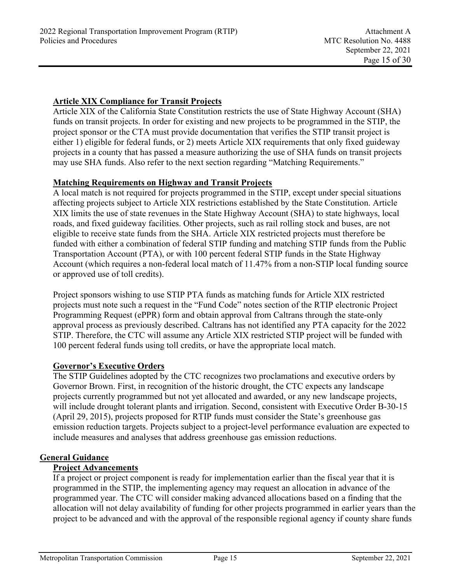# **Article XIX Compliance for Transit Projects**

Article XIX of the California State Constitution restricts the use of State Highway Account (SHA) funds on transit projects. In order for existing and new projects to be programmed in the STIP, the project sponsor or the CTA must provide documentation that verifies the STIP transit project is either 1) eligible for federal funds, or 2) meets Article XIX requirements that only fixed guideway projects in a county that has passed a measure authorizing the use of SHA funds on transit projects may use SHA funds. Also refer to the next section regarding "Matching Requirements."

### **Matching Requirements on Highway and Transit Projects**

A local match is not required for projects programmed in the STIP, except under special situations affecting projects subject to Article XIX restrictions established by the State Constitution. Article XIX limits the use of state revenues in the State Highway Account (SHA) to state highways, local roads, and fixed guideway facilities. Other projects, such as rail rolling stock and buses, are not eligible to receive state funds from the SHA. Article XIX restricted projects must therefore be funded with either a combination of federal STIP funding and matching STIP funds from the Public Transportation Account (PTA), or with 100 percent federal STIP funds in the State Highway Account (which requires a non-federal local match of 11.47% from a non-STIP local funding source or approved use of toll credits).

Project sponsors wishing to use STIP PTA funds as matching funds for Article XIX restricted projects must note such a request in the "Fund Code" notes section of the RTIP electronic Project Programming Request (ePPR) form and obtain approval from Caltrans through the state-only approval process as previously described. Caltrans has not identified any PTA capacity for the 2022 STIP. Therefore, the CTC will assume any Article XIX restricted STIP project will be funded with 100 percent federal funds using toll credits, or have the appropriate local match.

#### **Governor's Executive Orders**

The STIP Guidelines adopted by the CTC recognizes two proclamations and executive orders by Governor Brown. First, in recognition of the historic drought, the CTC expects any landscape projects currently programmed but not yet allocated and awarded, or any new landscape projects, will include drought tolerant plants and irrigation. Second, consistent with Executive Order B-30-15 (April 29, 2015), projects proposed for RTIP funds must consider the State's greenhouse gas emission reduction targets. Projects subject to a project-level performance evaluation are expected to include measures and analyses that address greenhouse gas emission reductions.

#### **General Guidance**

# **Project Advancements**

If a project or project component is ready for implementation earlier than the fiscal year that it is programmed in the STIP, the implementing agency may request an allocation in advance of the programmed year. The CTC will consider making advanced allocations based on a finding that the allocation will not delay availability of funding for other projects programmed in earlier years than the project to be advanced and with the approval of the responsible regional agency if county share funds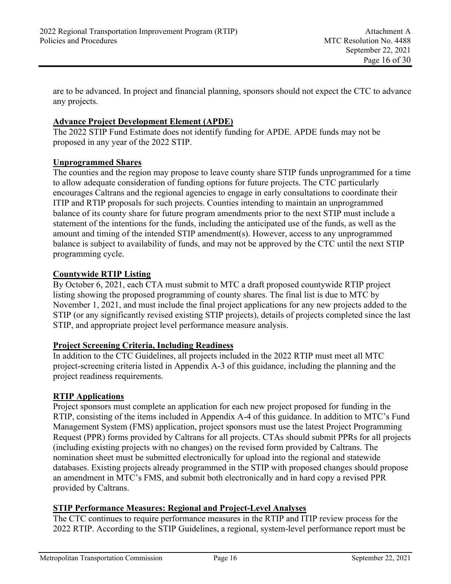are to be advanced. In project and financial planning, sponsors should not expect the CTC to advance any projects.

# **Advance Project Development Element (APDE)**

The 2022 STIP Fund Estimate does not identify funding for APDE. APDE funds may not be proposed in any year of the 2022 STIP.

#### **Unprogrammed Shares**

The counties and the region may propose to leave county share STIP funds unprogrammed for a time to allow adequate consideration of funding options for future projects. The CTC particularly encourages Caltrans and the regional agencies to engage in early consultations to coordinate their ITIP and RTIP proposals for such projects. Counties intending to maintain an unprogrammed balance of its county share for future program amendments prior to the next STIP must include a statement of the intentions for the funds, including the anticipated use of the funds, as well as the amount and timing of the intended STIP amendment(s). However, access to any unprogrammed balance is subject to availability of funds, and may not be approved by the CTC until the next STIP programming cycle.

### **Countywide RTIP Listing**

By October 6, 2021, each CTA must submit to MTC a draft proposed countywide RTIP project listing showing the proposed programming of county shares. The final list is due to MTC by November 1, 2021, and must include the final project applications for any new projects added to the STIP (or any significantly revised existing STIP projects), details of projects completed since the last STIP, and appropriate project level performance measure analysis.

#### **Project Screening Criteria, Including Readiness**

In addition to the CTC Guidelines, all projects included in the 2022 RTIP must meet all MTC project-screening criteria listed in Appendix A-3 of this guidance, including the planning and the project readiness requirements.

#### **RTIP Applications**

Project sponsors must complete an application for each new project proposed for funding in the RTIP, consisting of the items included in Appendix A-4 of this guidance. In addition to MTC's Fund Management System (FMS) application, project sponsors must use the latest Project Programming Request (PPR) forms provided by Caltrans for all projects. CTAs should submit PPRs for all projects (including existing projects with no changes) on the revised form provided by Caltrans. The nomination sheet must be submitted electronically for upload into the regional and statewide databases. Existing projects already programmed in the STIP with proposed changes should propose an amendment in MTC's FMS, and submit both electronically and in hard copy a revised PPR provided by Caltrans.

# **STIP Performance Measures: Regional and Project-Level Analyses**

The CTC continues to require performance measures in the RTIP and ITIP review process for the 2022 RTIP. According to the STIP Guidelines, a regional, system-level performance report must be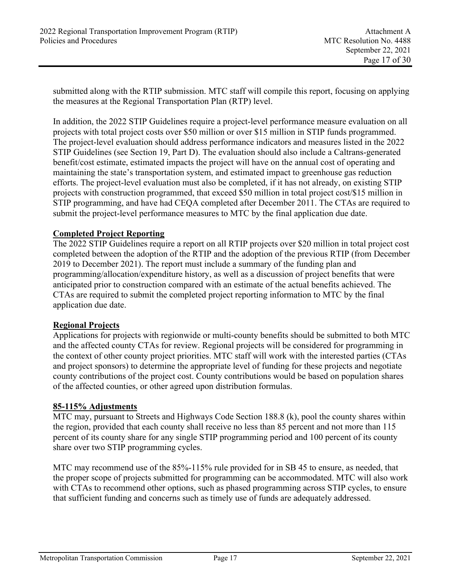submitted along with the RTIP submission. MTC staff will compile this report, focusing on applying the measures at the Regional Transportation Plan (RTP) level.

In addition, the 2022 STIP Guidelines require a project-level performance measure evaluation on all projects with total project costs over \$50 million or over \$15 million in STIP funds programmed. The project-level evaluation should address performance indicators and measures listed in the 2022 STIP Guidelines (see Section 19, Part D). The evaluation should also include a Caltrans-generated benefit/cost estimate, estimated impacts the project will have on the annual cost of operating and maintaining the state's transportation system, and estimated impact to greenhouse gas reduction efforts. The project-level evaluation must also be completed, if it has not already, on existing STIP projects with construction programmed, that exceed \$50 million in total project cost/\$15 million in STIP programming, and have had CEQA completed after December 2011. The CTAs are required to submit the project-level performance measures to MTC by the final application due date.

#### **Completed Project Reporting**

The 2022 STIP Guidelines require a report on all RTIP projects over \$20 million in total project cost completed between the adoption of the RTIP and the adoption of the previous RTIP (from December 2019 to December 2021). The report must include a summary of the funding plan and programming/allocation/expenditure history, as well as a discussion of project benefits that were anticipated prior to construction compared with an estimate of the actual benefits achieved. The CTAs are required to submit the completed project reporting information to MTC by the final application due date.

#### **Regional Projects**

Applications for projects with regionwide or multi-county benefits should be submitted to both MTC and the affected county CTAs for review. Regional projects will be considered for programming in the context of other county project priorities. MTC staff will work with the interested parties (CTAs and project sponsors) to determine the appropriate level of funding for these projects and negotiate county contributions of the project cost. County contributions would be based on population shares of the affected counties, or other agreed upon distribution formulas.

#### **85-115% Adjustments**

MTC may, pursuant to Streets and Highways Code Section 188.8 (k), pool the county shares within the region, provided that each county shall receive no less than 85 percent and not more than 115 percent of its county share for any single STIP programming period and 100 percent of its county share over two STIP programming cycles.

MTC may recommend use of the 85%-115% rule provided for in SB 45 to ensure, as needed, that the proper scope of projects submitted for programming can be accommodated. MTC will also work with CTAs to recommend other options, such as phased programming across STIP cycles, to ensure that sufficient funding and concerns such as timely use of funds are adequately addressed.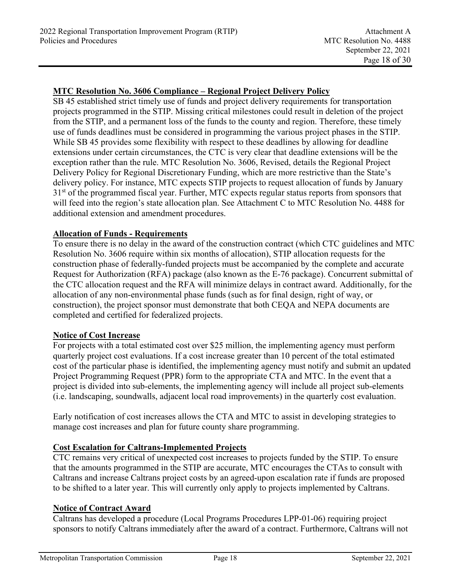# **MTC Resolution No. 3606 Compliance – Regional Project Delivery Policy**

SB 45 established strict timely use of funds and project delivery requirements for transportation projects programmed in the STIP. Missing critical milestones could result in deletion of the project from the STIP, and a permanent loss of the funds to the county and region. Therefore, these timely use of funds deadlines must be considered in programming the various project phases in the STIP. While SB 45 provides some flexibility with respect to these deadlines by allowing for deadline extensions under certain circumstances, the CTC is very clear that deadline extensions will be the exception rather than the rule. MTC Resolution No. 3606, Revised, details the Regional Project Delivery Policy for Regional Discretionary Funding, which are more restrictive than the State's delivery policy. For instance, MTC expects STIP projects to request allocation of funds by January 31<sup>st</sup> of the programmed fiscal year. Further, MTC expects regular status reports from sponsors that will feed into the region's state allocation plan. See Attachment C to MTC Resolution No. 4488 for additional extension and amendment procedures.

### **Allocation of Funds - Requirements**

To ensure there is no delay in the award of the construction contract (which CTC guidelines and MTC Resolution No. 3606 require within six months of allocation), STIP allocation requests for the construction phase of federally-funded projects must be accompanied by the complete and accurate Request for Authorization (RFA) package (also known as the E-76 package). Concurrent submittal of the CTC allocation request and the RFA will minimize delays in contract award. Additionally, for the allocation of any non-environmental phase funds (such as for final design, right of way, or construction), the project sponsor must demonstrate that both CEQA and NEPA documents are completed and certified for federalized projects.

#### **Notice of Cost Increase**

For projects with a total estimated cost over \$25 million, the implementing agency must perform quarterly project cost evaluations. If a cost increase greater than 10 percent of the total estimated cost of the particular phase is identified, the implementing agency must notify and submit an updated Project Programming Request (PPR) form to the appropriate CTA and MTC. In the event that a project is divided into sub-elements, the implementing agency will include all project sub-elements (i.e. landscaping, soundwalls, adjacent local road improvements) in the quarterly cost evaluation.

Early notification of cost increases allows the CTA and MTC to assist in developing strategies to manage cost increases and plan for future county share programming.

## **Cost Escalation for Caltrans-Implemented Projects**

CTC remains very critical of unexpected cost increases to projects funded by the STIP. To ensure that the amounts programmed in the STIP are accurate, MTC encourages the CTAs to consult with Caltrans and increase Caltrans project costs by an agreed-upon escalation rate if funds are proposed to be shifted to a later year. This will currently only apply to projects implemented by Caltrans.

#### **Notice of Contract Award**

Caltrans has developed a procedure (Local Programs Procedures LPP-01-06) requiring project sponsors to notify Caltrans immediately after the award of a contract. Furthermore, Caltrans will not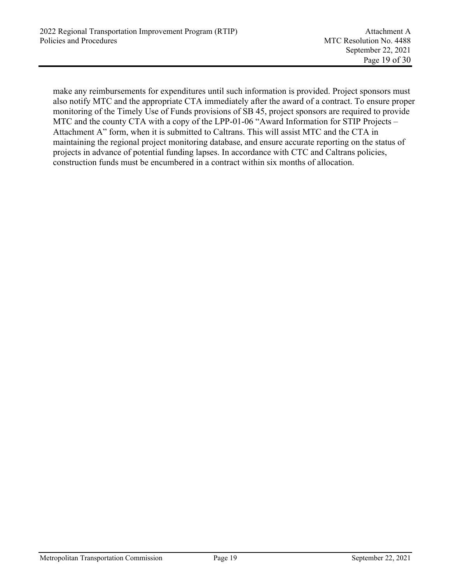make any reimbursements for expenditures until such information is provided. Project sponsors must also notify MTC and the appropriate CTA immediately after the award of a contract. To ensure proper monitoring of the Timely Use of Funds provisions of SB 45, project sponsors are required to provide MTC and the county CTA with a copy of the LPP-01-06 "Award Information for STIP Projects – Attachment A" form, when it is submitted to Caltrans. This will assist MTC and the CTA in maintaining the regional project monitoring database, and ensure accurate reporting on the status of projects in advance of potential funding lapses. In accordance with CTC and Caltrans policies, construction funds must be encumbered in a contract within six months of allocation.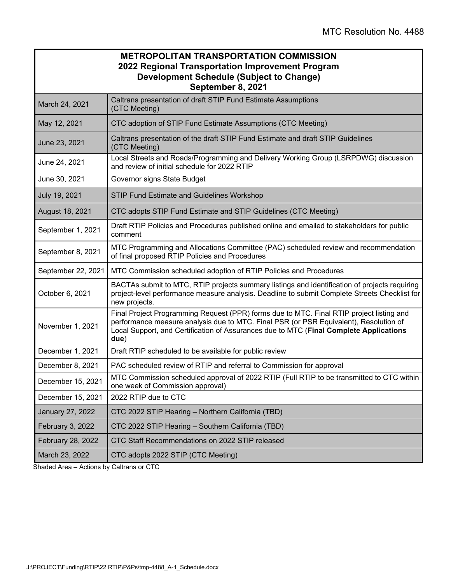|                    | <b>METROPOLITAN TRANSPORTATION COMMISSION</b><br>2022 Regional Transportation Improvement Program<br><b>Development Schedule (Subject to Change)</b><br>September 8, 2021                                                                                                           |
|--------------------|-------------------------------------------------------------------------------------------------------------------------------------------------------------------------------------------------------------------------------------------------------------------------------------|
| March 24, 2021     | Caltrans presentation of draft STIP Fund Estimate Assumptions<br>(CTC Meeting)                                                                                                                                                                                                      |
| May 12, 2021       | CTC adoption of STIP Fund Estimate Assumptions (CTC Meeting)                                                                                                                                                                                                                        |
| June 23, 2021      | Caltrans presentation of the draft STIP Fund Estimate and draft STIP Guidelines<br>(CTC Meeting)                                                                                                                                                                                    |
| June 24, 2021      | Local Streets and Roads/Programming and Delivery Working Group (LSRPDWG) discussion<br>and review of initial schedule for 2022 RTIP                                                                                                                                                 |
| June 30, 2021      | Governor signs State Budget                                                                                                                                                                                                                                                         |
| July 19, 2021      | STIP Fund Estimate and Guidelines Workshop                                                                                                                                                                                                                                          |
| August 18, 2021    | CTC adopts STIP Fund Estimate and STIP Guidelines (CTC Meeting)                                                                                                                                                                                                                     |
| September 1, 2021  | Draft RTIP Policies and Procedures published online and emailed to stakeholders for public<br>comment                                                                                                                                                                               |
| September 8, 2021  | MTC Programming and Allocations Committee (PAC) scheduled review and recommendation<br>of final proposed RTIP Policies and Procedures                                                                                                                                               |
| September 22, 2021 | MTC Commission scheduled adoption of RTIP Policies and Procedures                                                                                                                                                                                                                   |
| October 6, 2021    | BACTAs submit to MTC, RTIP projects summary listings and identification of projects requiring<br>project-level performance measure analysis. Deadline to submit Complete Streets Checklist for<br>new projects.                                                                     |
| November 1, 2021   | Final Project Programming Request (PPR) forms due to MTC. Final RTIP project listing and<br>performance measure analysis due to MTC. Final PSR (or PSR Equivalent), Resolution of<br>Local Support, and Certification of Assurances due to MTC (Final Complete Applications<br>due) |
| December 1, 2021   | Draft RTIP scheduled to be available for public review                                                                                                                                                                                                                              |
| December 8, 2021   | PAC scheduled review of RTIP and referral to Commission for approval                                                                                                                                                                                                                |
| December 15, 2021  | MTC Commission scheduled approval of 2022 RTIP (Full RTIP to be transmitted to CTC within<br>one week of Commission approval)                                                                                                                                                       |
| December 15, 2021  | 2022 RTIP due to CTC                                                                                                                                                                                                                                                                |
| January 27, 2022   | CTC 2022 STIP Hearing - Northern California (TBD)                                                                                                                                                                                                                                   |
| February 3, 2022   | CTC 2022 STIP Hearing - Southern California (TBD)                                                                                                                                                                                                                                   |
| February 28, 2022  | CTC Staff Recommendations on 2022 STIP released                                                                                                                                                                                                                                     |
| March 23, 2022     | CTC adopts 2022 STIP (CTC Meeting)                                                                                                                                                                                                                                                  |

Shaded Area – Actions by Caltrans or CTC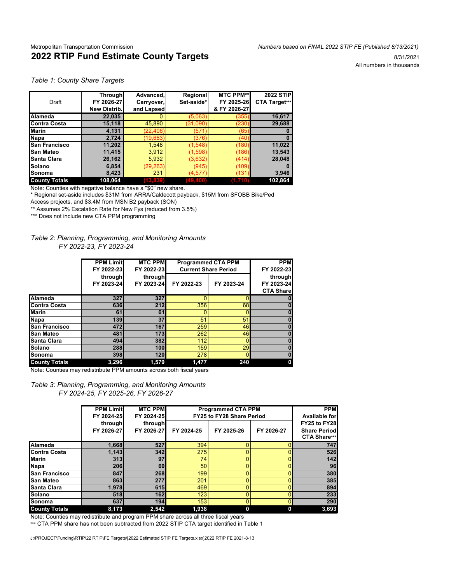#### Metropolitan Transportation Commission *Numbers based on FINAL 2022 STIP FE (Published 8/13/2021)* **2022 RTIP Fund Estimate County Targets 8/31/2021** 8/31/2021

All numbers in thousands

#### *Table 1: County Share Targets*

|                      | <b>Through</b>      | Advanced,  | Regional   | <b>MTC PPM**</b> | <b>2022 STIP</b> |
|----------------------|---------------------|------------|------------|------------------|------------------|
| Draft                | FY 2026-27          | Carryover, | Set-aside* | FY 2025-26       | CTA Target***    |
|                      | <b>New Distrib.</b> | and Lapsed |            | & FY 2026-27     |                  |
| Alameda              | 22,035              |            | (5.063)    | (355             | 16,617           |
| <b>Contra Costa</b>  | 15,118              | 45,890     | (31,090)   | (230             | 29,688           |
| <b>Marin</b>         | 4,131               | (22, 406)  | (571       | (65              |                  |
| Napa                 | 2.724               | (19, 683)  | (376)      | (40              | 0                |
| <b>San Francisco</b> | 11,202              | 1.548      | (1,548)    | (180)            | 11,022           |
| <b>San Mateo</b>     | 11.415              | 3,912      | (1,598)    | (186)            | 13,543           |
| <b>Santa Clara</b>   | 26,162              | 5,932      | (3,632)    | (414)            | 28.048           |
| Solano               | 6,854               | (29, 263)  | (945)      | (109)            |                  |
| ISonoma              | 8,423               | 231        | (4, 577)   | (131             | 3,946            |
| <b>County Totals</b> | 108,064             | (13, 839)  | (49, 400)  | (1,710)          | 102,864          |

Note: Counties with negative balance have a "\$0" new share.

\* Regional set-aside includes \$31M from ARRA/Caldecott payback, \$15M from SFOBB Bike/Ped Access projects, and \$3.4M from MSN B2 payback (SON)

\*\* Assumes 2% Escalation Rate for New Fys (reduced from 3.5%)

\*\*\* Does not include new CTA PPM programming

#### *Table 2: Planning, Programming, and Monitoring Amounts FY 2022-23, FY 2023-24*

|                      | <b>PPM Limit</b><br>FY 2022-23<br>through<br>FY 2023-24 | <b>MTC PPM</b><br>FY 2022-23<br>through<br>FY 2023-24 | <b>Programmed CTA PPM</b><br><b>Current Share Period</b><br>FY 2022-23 | <b>PPM</b><br>FY 2022-23<br>through<br>FY 2023-24<br><b>CTA Share</b> |             |
|----------------------|---------------------------------------------------------|-------------------------------------------------------|------------------------------------------------------------------------|-----------------------------------------------------------------------|-------------|
| <b>Alameda</b>       | 327                                                     | 327                                                   | n                                                                      |                                                                       |             |
| <b>IContra Costa</b> | 636                                                     | 212                                                   | 356                                                                    | 68                                                                    | $\bf{0}$    |
| <b>Marin</b>         | 61                                                      | 61                                                    | o                                                                      |                                                                       | $\bf{0}$    |
| <b>Napa</b>          | <b>139</b>                                              | 37                                                    | 51                                                                     | 51                                                                    | $\bf{0}$    |
| <b>San Francisco</b> | 472                                                     | 167                                                   | 259                                                                    | 46                                                                    | $\mathbf 0$ |
| <b>San Mateo</b>     | 481                                                     | 173                                                   | 262                                                                    | 46                                                                    | $\bf{0}$    |
| Santa Clara          | 494                                                     | 382                                                   | 112                                                                    |                                                                       | $\mathbf 0$ |
| Solano               | 288                                                     | 100                                                   | 159                                                                    | 29                                                                    | $\bf{0}$    |
| Sonoma               | 398                                                     | 120                                                   | 278                                                                    |                                                                       | $\mathbf 0$ |
| <b>County Totals</b> | 3,296                                                   | 1,579                                                 | 1.477                                                                  | 240                                                                   | 0           |

Note: Counties may redistribute PPM amounts across both fiscal years

*Table 3: Planning, Programming, and Monitoring Amounts FY 2024-25, FY 2025-26, FY 2026-27*

|                      | <b>PPM Limit</b><br>FY 2024-25<br>through | <b>MTC PPM</b><br>FY 2024-25<br>through | <b>PPM</b><br><b>Available for</b><br>FY25 to FY28 |            |            |                                      |
|----------------------|-------------------------------------------|-----------------------------------------|----------------------------------------------------|------------|------------|--------------------------------------|
|                      | FY 2026-27                                | FY 2026-27                              | FY 2024-25                                         | FY 2025-26 | FY 2026-27 | <b>Share Periodl</b><br>CTA Share*** |
| Alameda              | 1,668                                     | 527                                     | 394                                                |            |            | 747                                  |
| Contra Costa         | 1.143                                     | 342                                     | 275                                                |            |            | 526                                  |
| <b>Marin</b>         | 313I                                      | 97                                      | 74                                                 |            |            | 142                                  |
| Napa                 | <b>206</b>                                | 60                                      | 50                                                 |            |            | 96                                   |
| <b>San Francisco</b> | 847                                       | 268                                     | 199                                                |            |            | 380                                  |
| <b>San Mateo</b>     | 863                                       | 277                                     | 201                                                |            |            | 385                                  |
| Santa Clara          | 1.978                                     | 615                                     | 469                                                |            |            | 894                                  |
| <b>ISolano</b>       | 518                                       | 162                                     | 123                                                |            |            | 233                                  |
| <b>Sonoma</b>        | 637                                       | 194                                     | 153                                                |            |            | 290                                  |
| <b>County Totals</b> | 8.173                                     | 2.542                                   | 1,938                                              |            | 0          | 3,693                                |

Note: Counties may redistribute and program PPM share across all three fiscal years

\*\*\* CTA PPM share has not been subtracted from 2022 STIP CTA target identified in Table 1

J:\PROJECT\Funding\RTIP\22 RTIP\FE Targets\[2022 Estimated STIP FE Targets.xlsx]2022 RTIP FE 2021-8-13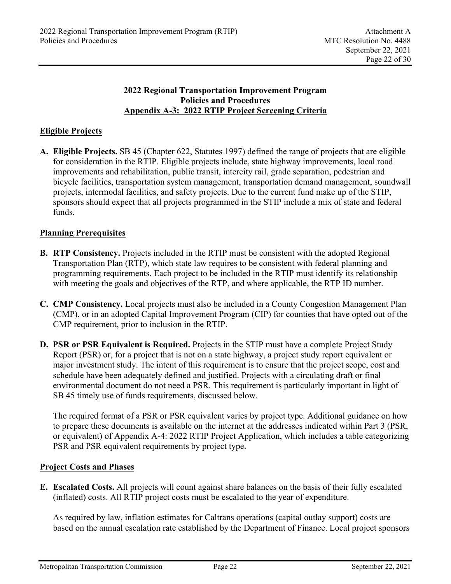# **2022 Regional Transportation Improvement Program Policies and Procedures Appendix A-3: 2022 RTIP Project Screening Criteria**

# **Eligible Projects**

**A. Eligible Projects.** SB 45 (Chapter 622, Statutes 1997) defined the range of projects that are eligible for consideration in the RTIP. Eligible projects include, state highway improvements, local road improvements and rehabilitation, public transit, intercity rail, grade separation, pedestrian and bicycle facilities, transportation system management, transportation demand management, soundwall projects, intermodal facilities, and safety projects. Due to the current fund make up of the STIP, sponsors should expect that all projects programmed in the STIP include a mix of state and federal funds.

# **Planning Prerequisites**

- **B. RTP Consistency.** Projects included in the RTIP must be consistent with the adopted Regional Transportation Plan (RTP), which state law requires to be consistent with federal planning and programming requirements. Each project to be included in the RTIP must identify its relationship with meeting the goals and objectives of the RTP, and where applicable, the RTP ID number.
- **C. CMP Consistency.** Local projects must also be included in a County Congestion Management Plan (CMP), or in an adopted Capital Improvement Program (CIP) for counties that have opted out of the CMP requirement, prior to inclusion in the RTIP.
- **D. PSR or PSR Equivalent is Required.** Projects in the STIP must have a complete Project Study Report (PSR) or, for a project that is not on a state highway, a project study report equivalent or major investment study. The intent of this requirement is to ensure that the project scope, cost and schedule have been adequately defined and justified. Projects with a circulating draft or final environmental document do not need a PSR. This requirement is particularly important in light of SB 45 timely use of funds requirements, discussed below.

 The required format of a PSR or PSR equivalent varies by project type. Additional guidance on how to prepare these documents is available on the internet at the addresses indicated within Part 3 (PSR, or equivalent) of Appendix A-4: 2022 RTIP Project Application, which includes a table categorizing PSR and PSR equivalent requirements by project type.

# **Project Costs and Phases**

**E. Escalated Costs.** All projects will count against share balances on the basis of their fully escalated (inflated) costs. All RTIP project costs must be escalated to the year of expenditure.

 As required by law, inflation estimates for Caltrans operations (capital outlay support) costs are based on the annual escalation rate established by the Department of Finance. Local project sponsors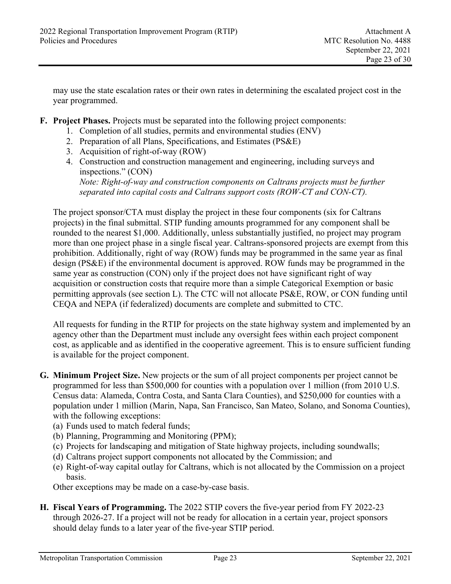may use the state escalation rates or their own rates in determining the escalated project cost in the year programmed.

- **F. Project Phases.** Projects must be separated into the following project components:
	- 1. Completion of all studies, permits and environmental studies (ENV)
	- 2. Preparation of all Plans, Specifications, and Estimates (PS&E)
	- 3. Acquisition of right-of-way (ROW)
	- 4. Construction and construction management and engineering, including surveys and inspections." (CON)

*Note: Right-of-way and construction components on Caltrans projects must be further separated into capital costs and Caltrans support costs (ROW-CT and CON-CT).* 

 The project sponsor/CTA must display the project in these four components (six for Caltrans projects) in the final submittal. STIP funding amounts programmed for any component shall be rounded to the nearest \$1,000. Additionally, unless substantially justified, no project may program more than one project phase in a single fiscal year. Caltrans-sponsored projects are exempt from this prohibition. Additionally, right of way (ROW) funds may be programmed in the same year as final design (PS&E) if the environmental document is approved. ROW funds may be programmed in the same year as construction (CON) only if the project does not have significant right of way acquisition or construction costs that require more than a simple Categorical Exemption or basic permitting approvals (see section L). The CTC will not allocate PS&E, ROW, or CON funding until CEQA and NEPA (if federalized) documents are complete and submitted to CTC.

All requests for funding in the RTIP for projects on the state highway system and implemented by an agency other than the Department must include any oversight fees within each project component cost, as applicable and as identified in the cooperative agreement. This is to ensure sufficient funding is available for the project component.

- **G. Minimum Project Size.** New projects or the sum of all project components per project cannot be programmed for less than \$500,000 for counties with a population over 1 million (from 2010 U.S. Census data: Alameda, Contra Costa, and Santa Clara Counties), and \$250,000 for counties with a population under 1 million (Marin, Napa, San Francisco, San Mateo, Solano, and Sonoma Counties), with the following exceptions:
	- (a) Funds used to match federal funds;
	- (b) Planning, Programming and Monitoring (PPM);
	- (c) Projects for landscaping and mitigation of State highway projects, including soundwalls;
	- (d) Caltrans project support components not allocated by the Commission; and
	- (e) Right-of-way capital outlay for Caltrans, which is not allocated by the Commission on a project basis.

Other exceptions may be made on a case-by-case basis.

**H. Fiscal Years of Programming.** The 2022 STIP covers the five-year period from FY 2022-23 through 2026-27. If a project will not be ready for allocation in a certain year, project sponsors should delay funds to a later year of the five-year STIP period.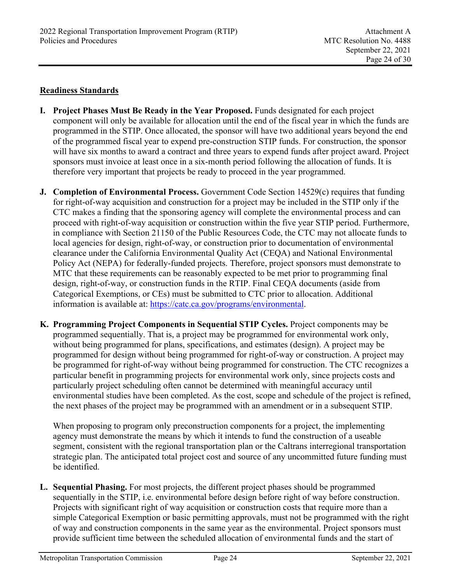## **Readiness Standards**

- **I. Project Phases Must Be Ready in the Year Proposed.** Funds designated for each project component will only be available for allocation until the end of the fiscal year in which the funds are programmed in the STIP. Once allocated, the sponsor will have two additional years beyond the end of the programmed fiscal year to expend pre-construction STIP funds. For construction, the sponsor will have six months to award a contract and three years to expend funds after project award. Project sponsors must invoice at least once in a six-month period following the allocation of funds. It is therefore very important that projects be ready to proceed in the year programmed.
- **J. Completion of Environmental Process.** Government Code Section 14529(c) requires that funding for right-of-way acquisition and construction for a project may be included in the STIP only if the CTC makes a finding that the sponsoring agency will complete the environmental process and can proceed with right-of-way acquisition or construction within the five year STIP period. Furthermore, in compliance with Section 21150 of the Public Resources Code, the CTC may not allocate funds to local agencies for design, right-of-way, or construction prior to documentation of environmental clearance under the California Environmental Quality Act (CEQA) and National Environmental Policy Act (NEPA) for federally-funded projects. Therefore, project sponsors must demonstrate to MTC that these requirements can be reasonably expected to be met prior to programming final design, right-of-way, or construction funds in the RTIP. Final CEQA documents (aside from Categorical Exemptions, or CEs) must be submitted to CTC prior to allocation. Additional information is available at: https://catc.ca.gov/programs/environmental.
- **K. Programming Project Components in Sequential STIP Cycles.** Project components may be programmed sequentially. That is, a project may be programmed for environmental work only, without being programmed for plans, specifications, and estimates (design). A project may be programmed for design without being programmed for right-of-way or construction. A project may be programmed for right-of-way without being programmed for construction. The CTC recognizes a particular benefit in programming projects for environmental work only, since projects costs and particularly project scheduling often cannot be determined with meaningful accuracy until environmental studies have been completed. As the cost, scope and schedule of the project is refined, the next phases of the project may be programmed with an amendment or in a subsequent STIP.

 When proposing to program only preconstruction components for a project, the implementing agency must demonstrate the means by which it intends to fund the construction of a useable segment, consistent with the regional transportation plan or the Caltrans interregional transportation strategic plan. The anticipated total project cost and source of any uncommitted future funding must be identified.

**L. Sequential Phasing.** For most projects, the different project phases should be programmed sequentially in the STIP, i.e. environmental before design before right of way before construction. Projects with significant right of way acquisition or construction costs that require more than a simple Categorical Exemption or basic permitting approvals, must not be programmed with the right of way and construction components in the same year as the environmental. Project sponsors must provide sufficient time between the scheduled allocation of environmental funds and the start of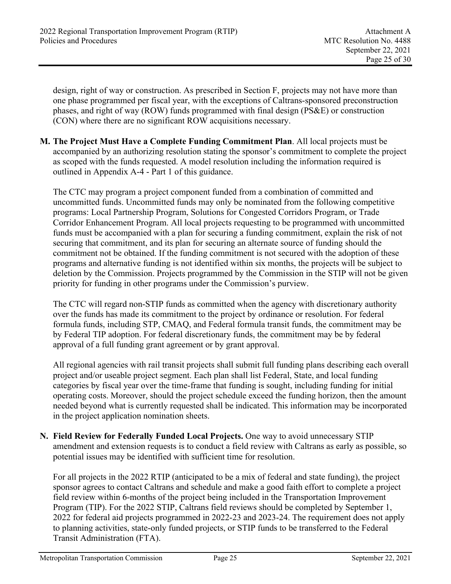design, right of way or construction. As prescribed in Section F, projects may not have more than one phase programmed per fiscal year, with the exceptions of Caltrans-sponsored preconstruction phases, and right of way (ROW) funds programmed with final design (PS&E) or construction (CON) where there are no significant ROW acquisitions necessary.

**M. The Project Must Have a Complete Funding Commitment Plan**. All local projects must be accompanied by an authorizing resolution stating the sponsor's commitment to complete the project as scoped with the funds requested. A model resolution including the information required is outlined in Appendix A-4 - Part 1 of this guidance.

 The CTC may program a project component funded from a combination of committed and uncommitted funds. Uncommitted funds may only be nominated from the following competitive programs: Local Partnership Program, Solutions for Congested Corridors Program, or Trade Corridor Enhancement Program. All local projects requesting to be programmed with uncommitted funds must be accompanied with a plan for securing a funding commitment, explain the risk of not securing that commitment, and its plan for securing an alternate source of funding should the commitment not be obtained. If the funding commitment is not secured with the adoption of these programs and alternative funding is not identified within six months, the projects will be subject to deletion by the Commission. Projects programmed by the Commission in the STIP will not be given priority for funding in other programs under the Commission's purview.

 The CTC will regard non-STIP funds as committed when the agency with discretionary authority over the funds has made its commitment to the project by ordinance or resolution. For federal formula funds, including STP, CMAQ, and Federal formula transit funds, the commitment may be by Federal TIP adoption. For federal discretionary funds, the commitment may be by federal approval of a full funding grant agreement or by grant approval.

 All regional agencies with rail transit projects shall submit full funding plans describing each overall project and/or useable project segment. Each plan shall list Federal, State, and local funding categories by fiscal year over the time-frame that funding is sought, including funding for initial operating costs. Moreover, should the project schedule exceed the funding horizon, then the amount needed beyond what is currently requested shall be indicated. This information may be incorporated in the project application nomination sheets.

**N. Field Review for Federally Funded Local Projects.** One way to avoid unnecessary STIP amendment and extension requests is to conduct a field review with Caltrans as early as possible, so potential issues may be identified with sufficient time for resolution.

 For all projects in the 2022 RTIP (anticipated to be a mix of federal and state funding), the project sponsor agrees to contact Caltrans and schedule and make a good faith effort to complete a project field review within 6-months of the project being included in the Transportation Improvement Program (TIP). For the 2022 STIP, Caltrans field reviews should be completed by September 1, 2022 for federal aid projects programmed in 2022-23 and 2023-24. The requirement does not apply to planning activities, state-only funded projects, or STIP funds to be transferred to the Federal Transit Administration (FTA).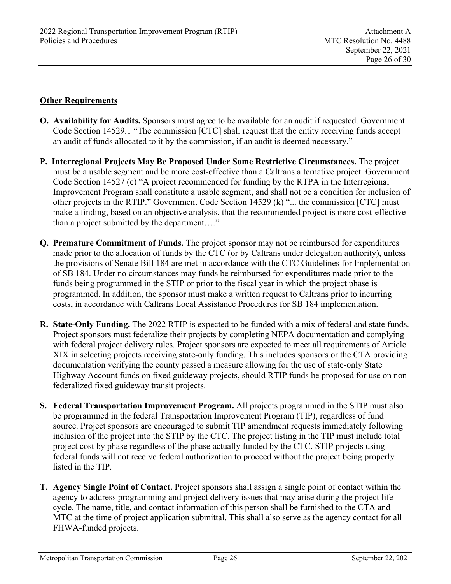# **Other Requirements**

- **O. Availability for Audits.** Sponsors must agree to be available for an audit if requested. Government Code Section 14529.1 "The commission [CTC] shall request that the entity receiving funds accept an audit of funds allocated to it by the commission, if an audit is deemed necessary."
- **P. Interregional Projects May Be Proposed Under Some Restrictive Circumstances.** The project must be a usable segment and be more cost-effective than a Caltrans alternative project. Government Code Section 14527 (c) "A project recommended for funding by the RTPA in the Interregional Improvement Program shall constitute a usable segment, and shall not be a condition for inclusion of other projects in the RTIP." Government Code Section 14529 (k) "... the commission [CTC] must make a finding, based on an objective analysis, that the recommended project is more cost-effective than a project submitted by the department…."
- **Q. Premature Commitment of Funds.** The project sponsor may not be reimbursed for expenditures made prior to the allocation of funds by the CTC (or by Caltrans under delegation authority), unless the provisions of Senate Bill 184 are met in accordance with the CTC Guidelines for Implementation of SB 184. Under no circumstances may funds be reimbursed for expenditures made prior to the funds being programmed in the STIP or prior to the fiscal year in which the project phase is programmed. In addition, the sponsor must make a written request to Caltrans prior to incurring costs, in accordance with Caltrans Local Assistance Procedures for SB 184 implementation.
- **R. State-Only Funding.** The 2022 RTIP is expected to be funded with a mix of federal and state funds. Project sponsors must federalize their projects by completing NEPA documentation and complying with federal project delivery rules. Project sponsors are expected to meet all requirements of Article XIX in selecting projects receiving state-only funding. This includes sponsors or the CTA providing documentation verifying the county passed a measure allowing for the use of state-only State Highway Account funds on fixed guideway projects, should RTIP funds be proposed for use on nonfederalized fixed guideway transit projects.
- **S. Federal Transportation Improvement Program.** All projects programmed in the STIP must also be programmed in the federal Transportation Improvement Program (TIP), regardless of fund source. Project sponsors are encouraged to submit TIP amendment requests immediately following inclusion of the project into the STIP by the CTC. The project listing in the TIP must include total project cost by phase regardless of the phase actually funded by the CTC. STIP projects using federal funds will not receive federal authorization to proceed without the project being properly listed in the TIP.
- **T. Agency Single Point of Contact.** Project sponsors shall assign a single point of contact within the agency to address programming and project delivery issues that may arise during the project life cycle. The name, title, and contact information of this person shall be furnished to the CTA and MTC at the time of project application submittal. This shall also serve as the agency contact for all FHWA-funded projects.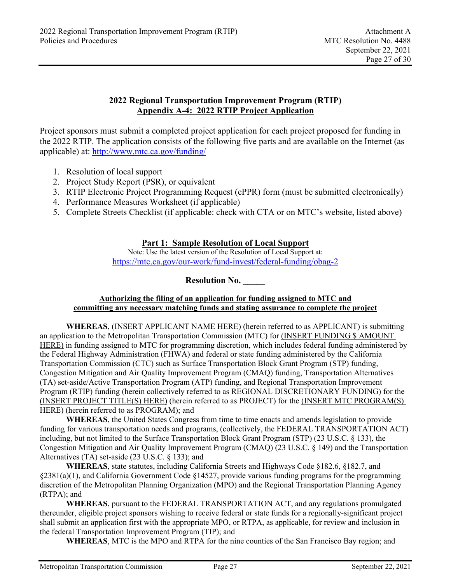## **2022 Regional Transportation Improvement Program (RTIP) Appendix A-4: 2022 RTIP Project Application**

Project sponsors must submit a completed project application for each project proposed for funding in the 2022 RTIP. The application consists of the following five parts and are available on the Internet (as applicable) at: http://www.mtc.ca.gov/funding/

- 1. Resolution of local support
- 2. Project Study Report (PSR), or equivalent
- 3. RTIP Electronic Project Programming Request (ePPR) form (must be submitted electronically)
- 4. Performance Measures Worksheet (if applicable)
- 5. Complete Streets Checklist (if applicable: check with CTA or on MTC's website, listed above)

### **Part 1: Sample Resolution of Local Support**

Note: Use the latest version of the Resolution of Local Support at: https://mtc.ca.gov/our-work/fund-invest/federal-funding/obag-2

**Resolution No. \_\_\_\_\_** 

#### **Authorizing the filing of an application for funding assigned to MTC and committing any necessary matching funds and stating assurance to complete the project**

**WHEREAS**, (INSERT APPLICANT NAME HERE) (herein referred to as APPLICANT) is submitting an application to the Metropolitan Transportation Commission (MTC) for (INSERT FUNDING \$ AMOUNT HERE) in funding assigned to MTC for programming discretion, which includes federal funding administered by the Federal Highway Administration (FHWA) and federal or state funding administered by the California Transportation Commission (CTC) such as Surface Transportation Block Grant Program (STP) funding, Congestion Mitigation and Air Quality Improvement Program (CMAQ) funding, Transportation Alternatives (TA) set-aside/Active Transportation Program (ATP) funding, and Regional Transportation Improvement Program (RTIP) funding (herein collectively referred to as REGIONAL DISCRETIONARY FUNDING) for the (INSERT PROJECT TITLE(S) HERE) (herein referred to as PROJECT) for the (INSERT MTC PROGRAM(S) HERE) (herein referred to as PROGRAM); and

**WHEREAS**, the United States Congress from time to time enacts and amends legislation to provide funding for various transportation needs and programs, (collectively, the FEDERAL TRANSPORTATION ACT) including, but not limited to the Surface Transportation Block Grant Program (STP) (23 U.S.C. § 133), the Congestion Mitigation and Air Quality Improvement Program (CMAQ) (23 U.S.C. § 149) and the Transportation Alternatives (TA) set-aside (23 U.S.C. § 133); and

**WHEREAS**, state statutes, including California Streets and Highways Code §182.6, §182.7, and §2381(a)(1), and California Government Code §14527, provide various funding programs for the programming discretion of the Metropolitan Planning Organization (MPO) and the Regional Transportation Planning Agency (RTPA); and

**WHEREAS**, pursuant to the FEDERAL TRANSPORTATION ACT, and any regulations promulgated thereunder, eligible project sponsors wishing to receive federal or state funds for a regionally-significant project shall submit an application first with the appropriate MPO, or RTPA, as applicable, for review and inclusion in the federal Transportation Improvement Program (TIP); and

**WHEREAS**, MTC is the MPO and RTPA for the nine counties of the San Francisco Bay region; and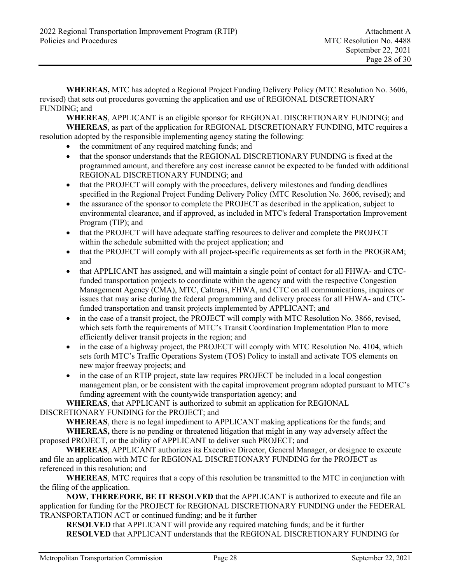**WHEREAS,** MTC has adopted a Regional Project Funding Delivery Policy (MTC Resolution No. 3606, revised) that sets out procedures governing the application and use of REGIONAL DISCRETIONARY FUNDING; and

**WHEREAS**, APPLICANT is an eligible sponsor for REGIONAL DISCRETIONARY FUNDING; and  **WHEREAS**, as part of the application for REGIONAL DISCRETIONARY FUNDING, MTC requires a resolution adopted by the responsible implementing agency stating the following:

- the commitment of any required matching funds; and
- that the sponsor understands that the REGIONAL DISCRETIONARY FUNDING is fixed at the programmed amount, and therefore any cost increase cannot be expected to be funded with additional REGIONAL DISCRETIONARY FUNDING; and
- that the PROJECT will comply with the procedures, delivery milestones and funding deadlines specified in the Regional Project Funding Delivery Policy (MTC Resolution No. 3606, revised); and
- the assurance of the sponsor to complete the PROJECT as described in the application, subject to environmental clearance, and if approved, as included in MTC's federal Transportation Improvement Program (TIP); and
- that the PROJECT will have adequate staffing resources to deliver and complete the PROJECT within the schedule submitted with the project application; and
- that the PROJECT will comply with all project-specific requirements as set forth in the PROGRAM; and
- that APPLICANT has assigned, and will maintain a single point of contact for all FHWA- and CTCfunded transportation projects to coordinate within the agency and with the respective Congestion Management Agency (CMA), MTC, Caltrans, FHWA, and CTC on all communications, inquires or issues that may arise during the federal programming and delivery process for all FHWA- and CTCfunded transportation and transit projects implemented by APPLICANT; and
- in the case of a transit project, the PROJECT will comply with MTC Resolution No. 3866, revised, which sets forth the requirements of MTC's Transit Coordination Implementation Plan to more efficiently deliver transit projects in the region; and
- in the case of a highway project, the PROJECT will comply with MTC Resolution No. 4104, which sets forth MTC's Traffic Operations System (TOS) Policy to install and activate TOS elements on new major freeway projects; and
- in the case of an RTIP project, state law requires PROJECT be included in a local congestion management plan, or be consistent with the capital improvement program adopted pursuant to MTC's funding agreement with the countywide transportation agency; and

 **WHEREAS**, that APPLICANT is authorized to submit an application for REGIONAL

DISCRETIONARY FUNDING for the PROJECT; and

 **WHEREAS**, there is no legal impediment to APPLICANT making applications for the funds; and

**WHEREAS,** there is no pending or threatened litigation that might in any way adversely affect the proposed PROJECT, or the ability of APPLICANT to deliver such PROJECT; and

 **WHEREAS**, APPLICANT authorizes its Executive Director, General Manager, or designee to execute and file an application with MTC for REGIONAL DISCRETIONARY FUNDING for the PROJECT as referenced in this resolution; and

**WHEREAS**, MTC requires that a copy of this resolution be transmitted to the MTC in conjunction with the filing of the application.

**NOW, THEREFORE, BE IT RESOLVED** that the APPLICANT is authorized to execute and file an application for funding for the PROJECT for REGIONAL DISCRETIONARY FUNDING under the FEDERAL TRANSPORTATION ACT or continued funding; and be it further

**RESOLVED** that APPLICANT will provide any required matching funds; and be it further **RESOLVED** that APPLICANT understands that the REGIONAL DISCRETIONARY FUNDING for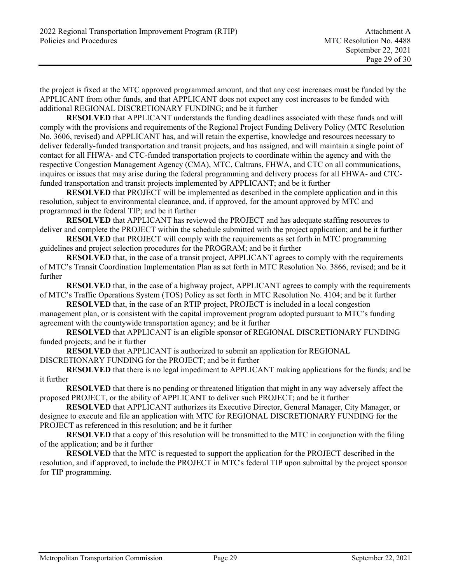the project is fixed at the MTC approved programmed amount, and that any cost increases must be funded by the APPLICANT from other funds, and that APPLICANT does not expect any cost increases to be funded with additional REGIONAL DISCRETIONARY FUNDING; and be it further

**RESOLVED** that APPLICANT understands the funding deadlines associated with these funds and will comply with the provisions and requirements of the Regional Project Funding Delivery Policy (MTC Resolution No. 3606, revised) and APPLICANT has, and will retain the expertise, knowledge and resources necessary to deliver federally-funded transportation and transit projects, and has assigned, and will maintain a single point of contact for all FHWA- and CTC-funded transportation projects to coordinate within the agency and with the respective Congestion Management Agency (CMA), MTC, Caltrans, FHWA, and CTC on all communications, inquires or issues that may arise during the federal programming and delivery process for all FHWA- and CTCfunded transportation and transit projects implemented by APPLICANT; and be it further

**RESOLVED** that PROJECT will be implemented as described in the complete application and in this resolution, subject to environmental clearance, and, if approved, for the amount approved by MTC and programmed in the federal TIP; and be it further

**RESOLVED** that APPLICANT has reviewed the PROJECT and has adequate staffing resources to deliver and complete the PROJECT within the schedule submitted with the project application; and be it further

**RESOLVED** that PROJECT will comply with the requirements as set forth in MTC programming guidelines and project selection procedures for the PROGRAM; and be it further

**RESOLVED** that, in the case of a transit project, APPLICANT agrees to comply with the requirements of MTC's Transit Coordination Implementation Plan as set forth in MTC Resolution No. 3866, revised; and be it further

**RESOLVED** that, in the case of a highway project, APPLICANT agrees to comply with the requirements of MTC's Traffic Operations System (TOS) Policy as set forth in MTC Resolution No. 4104; and be it further

**RESOLVED** that, in the case of an RTIP project, PROJECT is included in a local congestion management plan, or is consistent with the capital improvement program adopted pursuant to MTC's funding agreement with the countywide transportation agency; and be it further

**RESOLVED** that APPLICANT is an eligible sponsor of REGIONAL DISCRETIONARY FUNDING funded projects; and be it further

 **RESOLVED** that APPLICANT is authorized to submit an application for REGIONAL DISCRETIONARY FUNDING for the PROJECT; and be it further

**RESOLVED** that there is no legal impediment to APPLICANT making applications for the funds; and be it further

**RESOLVED** that there is no pending or threatened litigation that might in any way adversely affect the proposed PROJECT, or the ability of APPLICANT to deliver such PROJECT; and be it further

 **RESOLVED** that APPLICANT authorizes its Executive Director, General Manager, City Manager, or designee to execute and file an application with MTC for REGIONAL DISCRETIONARY FUNDING for the PROJECT as referenced in this resolution; and be it further

**RESOLVED** that a copy of this resolution will be transmitted to the MTC in conjunction with the filing of the application; and be it further

**RESOLVED** that the MTC is requested to support the application for the PROJECT described in the resolution, and if approved, to include the PROJECT in MTC's federal TIP upon submittal by the project sponsor for TIP programming.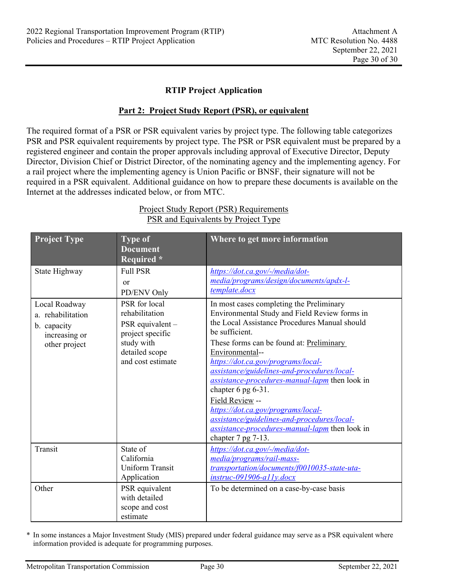### **RTIP Project Application**

#### **Part 2: Project Study Report (PSR), or equivalent**

The required format of a PSR or PSR equivalent varies by project type. The following table categorizes PSR and PSR equivalent requirements by project type. The PSR or PSR equivalent must be prepared by a registered engineer and contain the proper approvals including approval of Executive Director, Deputy Director, Division Chief or District Director, of the nominating agency and the implementing agency. For a rail project where the implementing agency is Union Pacific or BNSF, their signature will not be required in a PSR equivalent. Additional guidance on how to prepare these documents is available on the Internet at the addresses indicated below, or from MTC.

| <b>Project Type</b>                                                                 | <b>Type of</b><br><b>Document</b><br>Required *                                                                              | Where to get more information                                                                                                                                                                                                                                                                                                                                                                                                                                                                                                                                                   |
|-------------------------------------------------------------------------------------|------------------------------------------------------------------------------------------------------------------------------|---------------------------------------------------------------------------------------------------------------------------------------------------------------------------------------------------------------------------------------------------------------------------------------------------------------------------------------------------------------------------------------------------------------------------------------------------------------------------------------------------------------------------------------------------------------------------------|
| State Highway                                                                       | <b>Full PSR</b><br><sub>or</sub><br>PD/ENV Only                                                                              | https://dot.ca.gov/-/media/dot-<br>media/programs/design/documents/apdx-l-<br>template.docx                                                                                                                                                                                                                                                                                                                                                                                                                                                                                     |
| Local Roadway<br>a. rehabilitation<br>b. capacity<br>increasing or<br>other project | PSR for local<br>rehabilitation<br>PSR equivalent -<br>project specific<br>study with<br>detailed scope<br>and cost estimate | In most cases completing the Preliminary<br>Environmental Study and Field Review forms in<br>the Local Assistance Procedures Manual should<br>be sufficient.<br>These forms can be found at: Preliminary<br>Environmental--<br>https://dot.ca.gov/programs/local-<br>assistance/guidelines-and-procedures/local-<br><i>assistance-procedures-manual-lapm</i> then look in<br>chapter 6 pg 6-31.<br>Field Review --<br>https://dot.ca.gov/programs/local-<br>assistance/guidelines-and-procedures/local-<br>assistance-procedures-manual-lapm then look in<br>chapter 7 pg 7-13. |
| Transit                                                                             | State of<br>California<br><b>Uniform Transit</b><br>Application                                                              | https://dot.ca.gov/-/media/dot-<br>media/programs/rail-mass-<br>transportation/documents/f0010035-state-uta-<br>$instruc-091906-ally.docx$                                                                                                                                                                                                                                                                                                                                                                                                                                      |
| Other                                                                               | PSR equivalent<br>with detailed<br>scope and cost<br>estimate                                                                | To be determined on a case-by-case basis                                                                                                                                                                                                                                                                                                                                                                                                                                                                                                                                        |

# Project Study Report (PSR) Requirements PSR and Equivalents by Project Type

\* In some instances a Major Investment Study (MIS) prepared under federal guidance may serve as a PSR equivalent where information provided is adequate for programming purposes.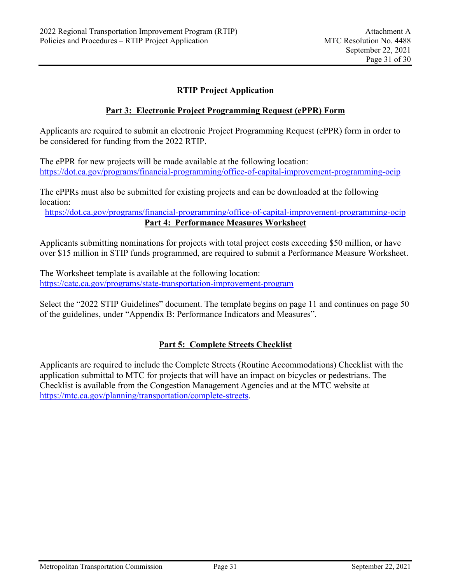## **RTIP Project Application**

#### **Part 3: Electronic Project Programming Request (ePPR) Form**

Applicants are required to submit an electronic Project Programming Request (ePPR) form in order to be considered for funding from the 2022 RTIP.

The ePPR for new projects will be made available at the following location: https://dot.ca.gov/programs/financial-programming/office-of-capital-improvement-programming-ocip

The ePPRs must also be submitted for existing projects and can be downloaded at the following location:

https://dot.ca.gov/programs/financial-programming/office-of-capital-improvement-programming-ocip **Part 4: Performance Measures Worksheet** 

Applicants submitting nominations for projects with total project costs exceeding \$50 million, or have over \$15 million in STIP funds programmed, are required to submit a Performance Measure Worksheet.

The Worksheet template is available at the following location: https://catc.ca.gov/programs/state-transportation-improvement-program

Select the "2022 STIP Guidelines" document. The template begins on page 11 and continues on page 50 of the guidelines, under "Appendix B: Performance Indicators and Measures".

# **Part 5: Complete Streets Checklist**

Applicants are required to include the Complete Streets (Routine Accommodations) Checklist with the application submittal to MTC for projects that will have an impact on bicycles or pedestrians. The Checklist is available from the Congestion Management Agencies and at the MTC website at https://mtc.ca.gov/planning/transportation/complete-streets.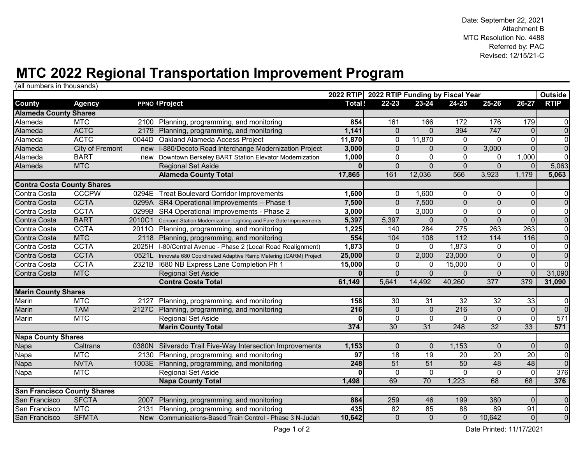# **MTC 2022 Regional Transportation Improvement Program**

(all numbers in thousands)

|                                    |                 |        |                                                                    |        | 2022 RTIP 2022 RTIP Funding by Fiscal Year |                 |                  |                   |                         | <b>Outside</b> |
|------------------------------------|-----------------|--------|--------------------------------------------------------------------|--------|--------------------------------------------|-----------------|------------------|-------------------|-------------------------|----------------|
| County                             | <b>Agency</b>   |        | <b>PPNO IProject</b>                                               | Total! | $22 - 23$                                  | 23-24           | 24-25            | 25-26             | 26-27                   | <b>RTIP</b>    |
| <b>Alameda County Shares</b>       |                 |        |                                                                    |        |                                            |                 |                  |                   |                         |                |
| Alameda                            | <b>MTC</b>      |        | 2100 Planning, programming, and monitoring                         | 854    | 161                                        | 166             | 172              | 176               | 179                     | 0              |
| Alameda                            | <b>ACTC</b>     |        | 2179 Planning, programming, and monitoring                         | 1,141  | $\Omega$                                   | $\Omega$        | 394              | 747               | $\Omega$                | $\mathbf 0$    |
| Alameda                            | <b>ACTC</b>     | 0044D  | Oakland Alameda Access Project                                     | 11,870 | $\mathbf{0}$                               | 11,870          | $\mathbf 0$      | $\mathbf{0}$      | 0                       | $\overline{0}$ |
| Alameda                            | City of Fremont | new    | I-880/Decoto Road Interchange Modernization Project                | 3,000  | $\mathbf{0}$                               | $\mathbf{0}$    | $\mathbf{0}$     | 3,000             | $\Omega$                | $\overline{0}$ |
| Alameda                            | <b>BART</b>     | new    | Downtown Berkeley BART Station Elevator Modernization              | 1,000  | $\mathbf{0}$                               | $\mathbf 0$     | $\mathbf{0}$     | $\mathbf{0}$      | 1,000                   | $\overline{0}$ |
| Alameda                            | <b>MTC</b>      |        | <b>Regional Set Aside</b>                                          |        | $\Omega$                                   | $\overline{0}$  | $\Omega$         | $\Omega$          | $\Omega$                | 5,063          |
|                                    |                 |        | <b>Alameda County Total</b>                                        | 17,865 | 161                                        | 12,036          | 566              | 3,923             | 1,179                   | 5,063          |
| <b>Contra Costa County Shares</b>  |                 |        |                                                                    |        |                                            |                 |                  |                   |                         |                |
| Contra Costa                       | <b>CCCPW</b>    | 0294E  | <b>Treat Boulevard Corridor Improvements</b>                       | 1,600  | $\mathbf{0}$                               | 1,600           | $\mathbf{0}$     | $\mathbf{0}$      | 0                       | $\mathbf 0$    |
| Contra Costa                       | <b>CCTA</b>     |        | 0299A SR4 Operational Improvements - Phase 1                       | 7,500  | $\Omega$                                   | 7,500           | $\mathbf{0}$     | $\Omega$          | $\overline{0}$          | $\mathbf 0$    |
| Contra Costa                       | <b>CCTA</b>     | 0299B  | SR4 Operational Improvements - Phase 2                             | 3,000  | $\Omega$                                   | 3,000           | $\mathbf 0$      | $\mathbf 0$       | 0                       | $\overline{0}$ |
| Contra Costa                       | <b>BART</b>     | 2010C1 | Concord Station Modernization: Lighting and Fare Gate Improvements | 5,397  | 5,397                                      | $\mathbf{0}$    | $\mathbf{0}$     | $\mathbf 0$       | $\overline{\mathbf{0}}$ | $\overline{0}$ |
| Contra Costa                       | <b>CCTA</b>     | 20110  | Planning, programming, and monitoring                              | 1,225  | 140                                        | 284             | $\overline{275}$ | $\overline{263}$  | $\overline{263}$        | $\overline{0}$ |
| Contra Costa                       | <b>MTC</b>      | 2118   | Planning, programming, and monitoring                              | 554    | 104                                        | 108             | $\overline{112}$ | $\frac{114}{114}$ | 116                     | $\overline{0}$ |
| Contra Costa                       | <b>CCTA</b>     | 2025H  | I-80/Central Avenue - Phase 2 (Local Road Realignment)             | 1,873  | $\mathbf 0$                                | $\mathbf{0}$    | 1,873            | $\mathbf 0$       | 0                       | $\mathbf 0$    |
| Contra Costa                       | <b>CCTA</b>     | 0521L  | Innovate 680 Coordinated Adaptive Ramp Metering (CARM) Project     | 25,000 | $\mathbf{0}$                               | 2,000           | 23,000           | $\mathbf 0$       | $\overline{0}$          | $\overline{0}$ |
| Contra Costa                       | <b>CCTA</b>     | 2321B  | 1680 NB Express Lane Completion Ph 1                               | 15,000 | $\mathbf{0}$                               | $\mathbf{0}$    | 15,000           | $\mathbf 0$       | 0                       | $\overline{0}$ |
| Contra Costa                       | <b>MTC</b>      |        | <b>Regional Set Aside</b>                                          |        | $\Omega$                                   | $\Omega$        | $\Omega$         | $\overline{0}$    | $\Omega$                | 31,090         |
|                                    |                 |        | <b>Contra Costa Total</b>                                          | 61,149 | 5,641                                      | 14,492          | 40,260           | 377               | 379                     | 31,090         |
| <b>Marin County Shares</b>         |                 |        |                                                                    |        |                                            |                 |                  |                   |                         |                |
| Marin                              | <b>MTC</b>      | 2127   | Planning, programming, and monitoring                              | 158    | 30                                         | 31              | 32               | 32                | 33                      | $\mathbf 0$    |
| Marin                              | <b>TAM</b>      | 2127C  | Planning, programming, and monitoring                              | 216    | $\mathbf{0}$                               | $\mathbf{0}$    | 216              | $\Omega$          | $\overline{0}$          | $\overline{0}$ |
| Marin                              | <b>MTC</b>      |        | <b>Regional Set Aside</b>                                          |        | $\mathbf{0}$                               | $\mathbf 0$     | $\mathbf{0}$     | $\mathbf 0$       | 0                       | 571            |
|                                    |                 |        | <b>Marin County Total</b>                                          | 374    | 30                                         | 31              | 248              | 32                | 33                      | 571            |
| <b>Napa County Shares</b>          |                 |        |                                                                    |        |                                            |                 |                  |                   |                         |                |
| Napa                               | Caltrans        |        | 0380N Silverado Trail Five-Way Intersection Improvements           | 1,153  | $\mathbf 0$                                | $\Omega$        | 1,153            | $\mathbf{0}$      | $\Omega$                | $\mathbf 0$    |
| Napa                               | <b>MTC</b>      | 2130   | Planning, programming, and monitoring                              | 97     | $\overline{18}$                            | 19              | 20               | $\overline{20}$   | $\overline{20}$         | $\overline{0}$ |
| Napa                               | <b>NVTA</b>     |        | 1003E Planning, programming, and monitoring                        | 248    | 51                                         | $\overline{51}$ | 50               | 48                | 48                      | $\overline{0}$ |
| Napa                               | <b>MTC</b>      |        | <b>Regional Set Aside</b>                                          |        | $\mathbf 0$                                | $\mathbf 0$     | $\mathbf 0$      | $\mathbf 0$       | 0                       | 376            |
|                                    |                 |        | <b>Napa County Total</b>                                           | 1,498  | 69                                         | 70              | 1,223            | 68                | 68                      | 376            |
| <b>San Francisco County Shares</b> |                 |        |                                                                    |        |                                            |                 |                  |                   |                         |                |
| San Francisco                      | <b>SFCTA</b>    | 2007   | Planning, programming, and monitoring                              | 884    | 259                                        | 46              | 199              | 380               | $\Omega$                | $\mathbf 0$    |
| San Francisco                      | <b>MTC</b>      | 2131   | Planning, programming, and monitoring                              | 435    | $\overline{82}$                            | 85              | $\overline{88}$  | 89                | $\overline{91}$         | $\overline{0}$ |
| San Francisco                      | <b>SFMTA</b>    | New    | Communications-Based Train Control - Phase 3 N-Judah               | 10,642 | $\Omega$                                   | $\overline{0}$  | $\mathbf{0}$     | 10,642            | $\overline{0}$          | $\overline{0}$ |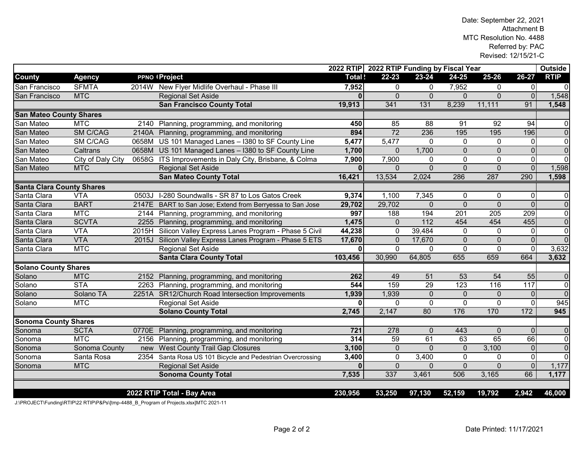|                                  |                   |       |                                                           |          | 2022 RTIP 2022 RTIP Funding by Fiscal Year |                 |              |                |                | <b>Outside</b> |  |
|----------------------------------|-------------------|-------|-----------------------------------------------------------|----------|--------------------------------------------|-----------------|--------------|----------------|----------------|----------------|--|
| <b>County</b>                    | <b>Agency</b>     |       | <b>PPNO IProject</b>                                      | Total!   | $22 - 23$                                  | 23-24           | 24-25        | 25-26          | 26-27          | <b>RTIP</b>    |  |
| San Francisco                    | <b>SFMTA</b>      | 2014W | New Flyer Midlife Overhaul - Phase III                    | 7,952    | $\Omega$                                   | $\Omega$        | 7,952        | $\Omega$       | 0              | $\mathbf 0$    |  |
| San Francisco                    | <b>MTC</b>        |       | <b>Regional Set Aside</b>                                 | $\Omega$ | $\Omega$                                   | $\mathbf{0}$    | $\Omega$     | $\overline{0}$ | $\overline{0}$ | 1,548          |  |
|                                  |                   |       | <b>San Francisco County Total</b>                         | 19,913   | 341                                        | 131             | 8,239        | 11,111         | 91             | 1,548          |  |
| <b>San Mateo County Shares</b>   |                   |       |                                                           |          |                                            |                 |              |                |                |                |  |
| San Mateo                        | <b>MTC</b>        | 2140  | Planning, programming, and monitoring                     | 450      | 85                                         | 88              | 91           | 92             | 94             | $\mathbf 0$    |  |
| San Mateo                        | <b>SM C/CAG</b>   | 2140A | Planning, programming, and monitoring                     | 894      | $\overline{72}$                            | 236             | 195          | 195            | 196            | $\overline{0}$ |  |
| San Mateo                        | <b>SM C/CAG</b>   | 0658M | US 101 Managed Lanes - I380 to SF County Line             | 5,477    | 5,477                                      | $\Omega$        | $\Omega$     | $\Omega$       | $\Omega$       | $\overline{0}$ |  |
| San Mateo                        | Caltrans          |       | 0658M US 101 Managed Lanes - I380 to SF County Line       | 1,700    | $\Omega$                                   | 1,700           | $\mathbf 0$  | $\Omega$       | $\overline{0}$ | $\overline{0}$ |  |
| San Mateo                        | City of Daly City |       | 0658G ITS Improvements in Daly City, Brisbane, & Colma    | 7,900    | 7,900                                      | $\Omega$        | $\Omega$     | $\mathbf 0$    | 0              | $\overline{0}$ |  |
| San Mateo                        | <b>MTC</b>        |       | <b>Regional Set Aside</b>                                 | $\Omega$ | $\Omega$                                   | $\Omega$        | $\Omega$     | $\Omega$       | $\overline{0}$ | 1,598          |  |
|                                  |                   |       | <b>San Mateo County Total</b>                             | 16,421   | 13,534                                     | 2,024           | 286          | 287            | 290            | 1,598          |  |
| <b>Santa Clara County Shares</b> |                   |       |                                                           |          |                                            |                 |              |                |                |                |  |
| Santa Clara                      | <b>VTA</b>        | 0503J | I-280 Soundwalls - SR 87 to Los Gatos Creek               | 9,374    | 1,100                                      | 7,345           | $\Omega$     | 0              | 0              | $\mathbf 0$    |  |
| Santa Clara                      | <b>BART</b>       |       | 2147E BART to San Jose; Extend from Berryessa to San Jose | 29,702   | 29,702                                     | $\Omega$        | $\Omega$     | $\Omega$       | $\overline{0}$ | $\overline{0}$ |  |
| Santa Clara                      | <b>MTC</b>        |       | 2144 Planning, programming, and monitoring                | 997      | 188                                        | 194             | 201          | 205            | 209            | $\overline{0}$ |  |
| Santa Clara                      | <b>SCVTA</b>      |       | 2255 Planning, programming, and monitoring                | 1,475    | $\mathbf{0}$                               | 112             | 454          | 454            | 455            | $\overline{0}$ |  |
| Santa Clara                      | <b>VTA</b>        | 2015H | Silicon Valley Express Lanes Program - Phase 5 Civil      | 44,238   | $\Omega$                                   | 39,484          | $\Omega$     | $\mathbf{0}$   | $\Omega$       | $\overline{0}$ |  |
| Santa Clara                      | <b>VTA</b>        | 2015J | Silicon Valley Express Lanes Program - Phase 5 ETS        | 17,670   | $\Omega$                                   | 17,670          | $\mathbf 0$  | $\overline{0}$ | $\overline{0}$ | $\overline{0}$ |  |
| Santa Clara                      | <b>MTC</b>        |       | Regional Set Aside                                        | ŋ        | $\Omega$                                   | $\mathbf{0}$    | $\Omega$     | $\mathbf 0$    | 0              | 3,632          |  |
|                                  |                   |       | <b>Santa Clara County Total</b>                           | 103,456  | 30,990                                     | 64,805          | 655          | 659            | 664            | 3,632          |  |
| <b>Solano County Shares</b>      |                   |       |                                                           |          |                                            |                 |              |                |                |                |  |
| Solano                           | <b>MTC</b>        | 2152  | Planning, programming, and monitoring                     | 262      | 49                                         | 51              | 53           | 54             | 55             | $\mathbf 0$    |  |
| Solano                           | <b>STA</b>        |       | 2263 Planning, programming, and monitoring                | 544      | 159                                        | $\overline{29}$ | 123          | 116            | 117            | $\overline{0}$ |  |
| Solano                           | Solano TA         |       | 2251A SR12/Church Road Intersection Improvements          | 1,939    | 1,939                                      | $\mathbf{0}$    | $\Omega$     | $\Omega$       | $\overline{0}$ | $\overline{0}$ |  |
| Solano                           | <b>MTC</b>        |       | <b>Regional Set Aside</b>                                 | $\Omega$ | $\Omega$                                   | $\Omega$        | $\Omega$     | $\Omega$       | $\mathbf{0}$   | 945            |  |
|                                  |                   |       | <b>Solano County Total</b>                                | 2,745    | 2,147                                      | 80              | 176          | 170            | 172            | 945            |  |
| <b>Sonoma County Shares</b>      |                   |       |                                                           |          |                                            |                 |              |                |                |                |  |
| Sonoma                           | <b>SCTA</b>       |       | 0770E Planning, programming, and monitoring               | 721      | 278                                        | $\Omega$        | 443          | $\mathbf{0}$   | $\Omega$       | $\overline{0}$ |  |
| Sonoma                           | <b>MTC</b>        |       | 2156 Planning, programming, and monitoring                | 314      | 59                                         | 61              | 63           | 65             | 66             | $\overline{0}$ |  |
| Sonoma                           | Sonoma County     | new   | <b>West County Trail Gap Closures</b>                     | 3,100    | $\Omega$                                   | $\Omega$        | $\mathbf{0}$ | 3,100          | $\overline{0}$ | $\overline{0}$ |  |
| Sonoma                           | Santa Rosa        | 2354  | Santa Rosa US 101 Bicycle and Pedestrian Overcrossing     | 3,400    | $\Omega$                                   | 3,400           | $\Omega$     | $\mathbf 0$    | $\overline{0}$ | $\overline{0}$ |  |
| Sonoma                           | <b>MTC</b>        |       | <b>Regional Set Aside</b>                                 | $\Omega$ | $\Omega$                                   | $\mathbf{0}$    | $\Omega$     | $\overline{0}$ | $\overline{0}$ | 1,177          |  |
|                                  |                   |       | <b>Sonoma County Total</b>                                | 7,535    | 337                                        | 3,461           | 506          | 3,165          | 66             | 1,177          |  |
|                                  |                   |       |                                                           |          |                                            |                 |              |                |                |                |  |
|                                  |                   |       | 2022 RTIP Total - Bay Area                                | 230,956  | 53,250                                     | 97,130          | 52,159       | 19,792         | 2,942          | 46,000         |  |

J:\PROJECT\Funding\RTIP\22 RTIP\P&Ps\[tmp-4488\_B\_Program of Projects.xlsx]MTC 2021-11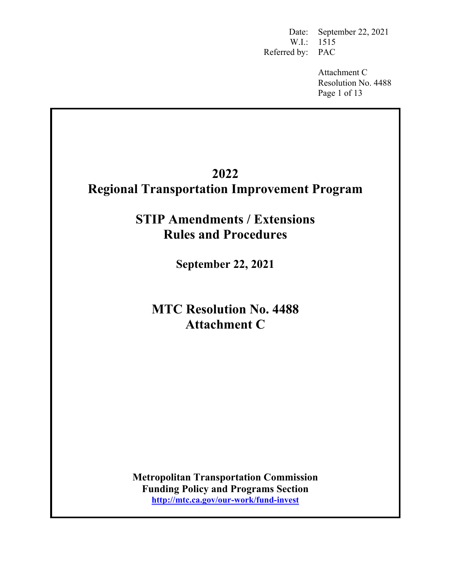Date: September 22, 2021 W.I.: 1515 Referred by: PAC

> Attachment C Resolution No. 4488 Page 1 of 13

# **2022 Regional Transportation Improvement Program**

**STIP Amendments / Extensions Rules and Procedures** 

**September 22, 2021** 

**MTC Resolution No. 4488 Attachment C** 

**Metropolitan Transportation Commission Funding Policy and Programs Section http://mtc.ca.gov/our-work/fund-invest**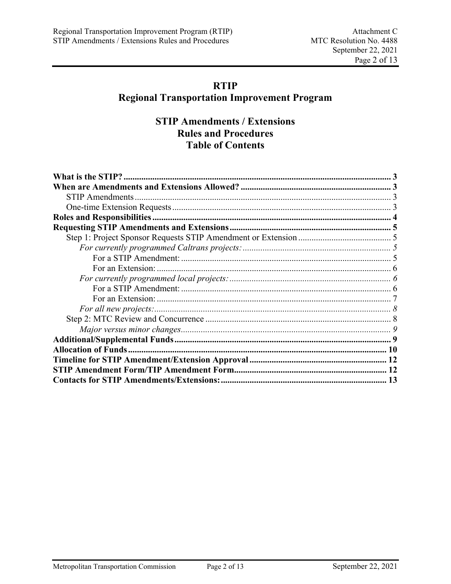# **RTIP**

# **Regional Transportation Improvement Program**

# **STIP Amendments / Extensions Rules and Procedures Table of Contents**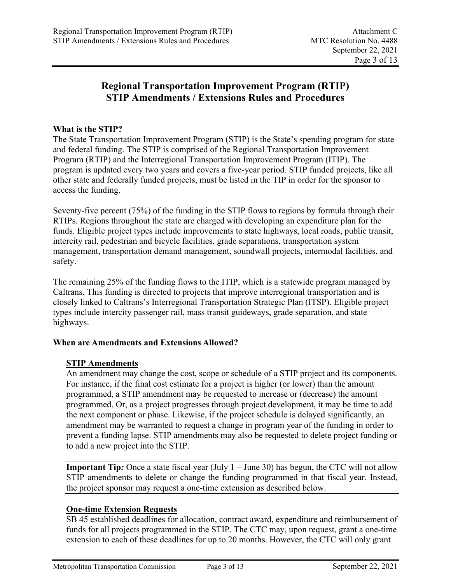# **Regional Transportation Improvement Program (RTIP) STIP Amendments / Extensions Rules and Procedures**

# **What is the STIP?**

The State Transportation Improvement Program (STIP) is the State's spending program for state and federal funding. The STIP is comprised of the Regional Transportation Improvement Program (RTIP) and the Interregional Transportation Improvement Program (ITIP). The program is updated every two years and covers a five-year period. STIP funded projects, like all other state and federally funded projects, must be listed in the TIP in order for the sponsor to access the funding.

Seventy-five percent (75%) of the funding in the STIP flows to regions by formula through their RTIPs. Regions throughout the state are charged with developing an expenditure plan for the funds. Eligible project types include improvements to state highways, local roads, public transit, intercity rail, pedestrian and bicycle facilities, grade separations, transportation system management, transportation demand management, soundwall projects, intermodal facilities, and safety.

The remaining 25% of the funding flows to the ITIP, which is a statewide program managed by Caltrans. This funding is directed to projects that improve interregional transportation and is closely linked to Caltrans's Interregional Transportation Strategic Plan (ITSP). Eligible project types include intercity passenger rail, mass transit guideways, grade separation, and state highways.

# **When are Amendments and Extensions Allowed?**

# **STIP Amendments**

An amendment may change the cost, scope or schedule of a STIP project and its components. For instance, if the final cost estimate for a project is higher (or lower) than the amount programmed, a STIP amendment may be requested to increase or (decrease) the amount programmed. Or, as a project progresses through project development, it may be time to add the next component or phase. Likewise, if the project schedule is delayed significantly, an amendment may be warranted to request a change in program year of the funding in order to prevent a funding lapse. STIP amendments may also be requested to delete project funding or to add a new project into the STIP.

**Important Tip**: Once a state fiscal year (July 1 – June 30) has begun, the CTC will not allow STIP amendments to delete or change the funding programmed in that fiscal year. Instead, the project sponsor may request a one-time extension as described below.

# **One-time Extension Requests**

SB 45 established deadlines for allocation, contract award, expenditure and reimbursement of funds for all projects programmed in the STIP. The CTC may, upon request, grant a one-time extension to each of these deadlines for up to 20 months. However, the CTC will only grant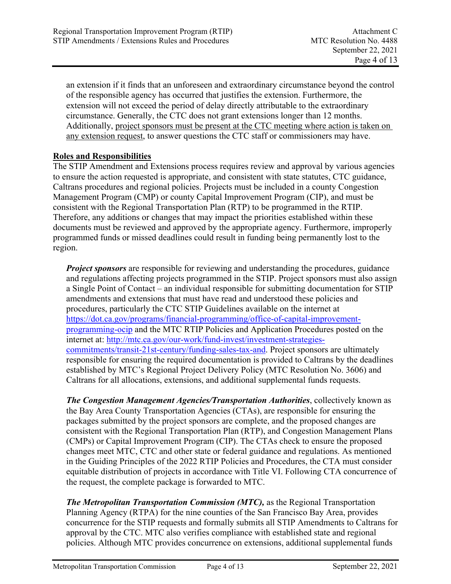an extension if it finds that an unforeseen and extraordinary circumstance beyond the control of the responsible agency has occurred that justifies the extension. Furthermore, the extension will not exceed the period of delay directly attributable to the extraordinary circumstance. Generally, the CTC does not grant extensions longer than 12 months. Additionally, project sponsors must be present at the CTC meeting where action is taken on any extension request, to answer questions the CTC staff or commissioners may have.

# **Roles and Responsibilities**

The STIP Amendment and Extensions process requires review and approval by various agencies to ensure the action requested is appropriate, and consistent with state statutes, CTC guidance, Caltrans procedures and regional policies. Projects must be included in a county Congestion Management Program (CMP) or county Capital Improvement Program (CIP), and must be consistent with the Regional Transportation Plan (RTP) to be programmed in the RTIP. Therefore, any additions or changes that may impact the priorities established within these documents must be reviewed and approved by the appropriate agency. Furthermore, improperly programmed funds or missed deadlines could result in funding being permanently lost to the region.

*Project sponsors* are responsible for reviewing and understanding the procedures, guidance and regulations affecting projects programmed in the STIP. Project sponsors must also assign a Single Point of Contact – an individual responsible for submitting documentation for STIP amendments and extensions that must have read and understood these policies and procedures, particularly the CTC STIP Guidelines available on the internet at https://dot.ca.gov/programs/financial-programming/office-of-capital-improvementprogramming-ocip and the MTC RTIP Policies and Application Procedures posted on the internet at: http://mtc.ca.gov/our-work/fund-invest/investment-strategiescommitments/transit-21st-century/funding-sales-tax-and. Project sponsors are ultimately responsible for ensuring the required documentation is provided to Caltrans by the deadlines established by MTC's Regional Project Delivery Policy (MTC Resolution No. 3606) and Caltrans for all allocations, extensions, and additional supplemental funds requests.

*The Congestion Management Agencies/Transportation Authorities*, collectively known as the Bay Area County Transportation Agencies (CTAs), are responsible for ensuring the packages submitted by the project sponsors are complete, and the proposed changes are consistent with the Regional Transportation Plan (RTP), and Congestion Management Plans (CMPs) or Capital Improvement Program (CIP). The CTAs check to ensure the proposed changes meet MTC, CTC and other state or federal guidance and regulations. As mentioned in the Guiding Principles of the 2022 RTIP Policies and Procedures, the CTA must consider equitable distribution of projects in accordance with Title VI. Following CTA concurrence of the request, the complete package is forwarded to MTC.

*The Metropolitan Transportation Commission (MTC),* as the Regional Transportation Planning Agency (RTPA) for the nine counties of the San Francisco Bay Area, provides concurrence for the STIP requests and formally submits all STIP Amendments to Caltrans for approval by the CTC. MTC also verifies compliance with established state and regional policies. Although MTC provides concurrence on extensions, additional supplemental funds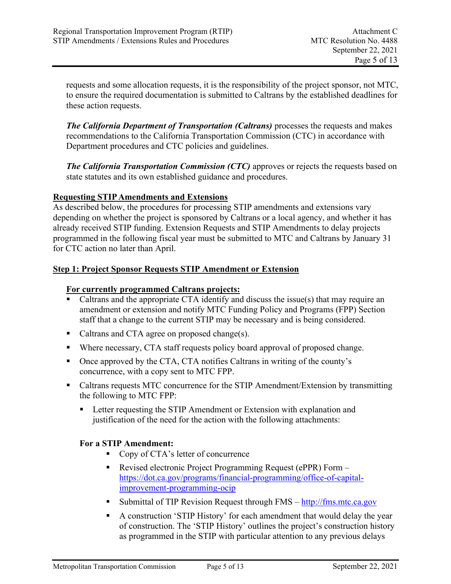requests and some allocation requests, it is the responsibility of the project sponsor, not MTC, to ensure the required documentation is submitted to Caltrans by the established deadlines for these action requests.

*The California Department of Transportation (Caltrans)* processes the requests and makes recommendations to the California Transportation Commission (CTC) in accordance with Department procedures and CTC policies and guidelines.

*The California Transportation Commission (CTC)* approves or rejects the requests based on state statutes and its own established guidance and procedures.

# **Requesting STIP Amendments and Extensions**

As described below, the procedures for processing STIP amendments and extensions vary depending on whether the project is sponsored by Caltrans or a local agency, and whether it has already received STIP funding. Extension Requests and STIP Amendments to delay projects programmed in the following fiscal year must be submitted to MTC and Caltrans by January 31 for CTC action no later than April.

# **Step 1: Project Sponsor Requests STIP Amendment or Extension**

# **For currently programmed Caltrans projects:**

- Caltrans and the appropriate CTA identify and discuss the issue(s) that may require an amendment or extension and notify MTC Funding Policy and Programs (FPP) Section staff that a change to the current STIP may be necessary and is being considered.
- Caltrans and CTA agree on proposed change(s).
- Where necessary, CTA staff requests policy board approval of proposed change.
- Once approved by the CTA, CTA notifies Caltrans in writing of the county's concurrence, with a copy sent to MTC FPP.
- Caltrans requests MTC concurrence for the STIP Amendment/Extension by transmitting the following to MTC FPP:
	- **EXTERM** Letter requesting the STIP Amendment or Extension with explanation and justification of the need for the action with the following attachments:

# **For a STIP Amendment:**

- Copy of CTA's letter of concurrence
- Revised electronic Project Programming Request (ePPR) Form https://dot.ca.gov/programs/financial-programming/office-of-capitalimprovement-programming-ocip
- Submittal of TIP Revision Request through  $FMS \frac{http://fms.mtc.ca.gov)}{http://fms.mtc.ca.gov)}$
- A construction 'STIP History' for each amendment that would delay the year of construction. The 'STIP History' outlines the project's construction history as programmed in the STIP with particular attention to any previous delays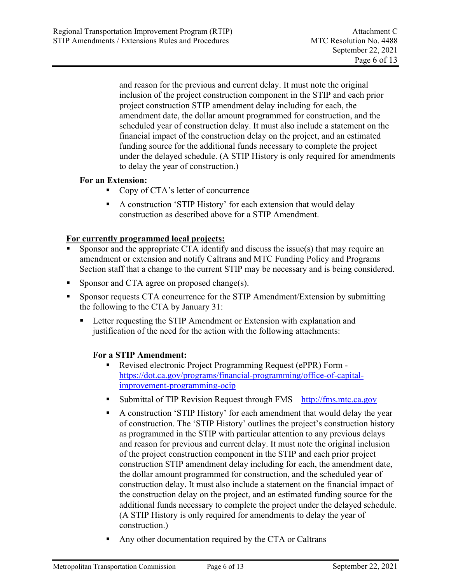and reason for the previous and current delay. It must note the original inclusion of the project construction component in the STIP and each prior project construction STIP amendment delay including for each, the amendment date, the dollar amount programmed for construction, and the scheduled year of construction delay. It must also include a statement on the financial impact of the construction delay on the project, and an estimated funding source for the additional funds necessary to complete the project under the delayed schedule. (A STIP History is only required for amendments to delay the year of construction.)

# **For an Extension:**

- Copy of CTA's letter of concurrence
- A construction 'STIP History' for each extension that would delay construction as described above for a STIP Amendment.

# **For currently programmed local projects:**

- Sponsor and the appropriate CTA identify and discuss the issue(s) that may require an amendment or extension and notify Caltrans and MTC Funding Policy and Programs Section staff that a change to the current STIP may be necessary and is being considered.
- **Sponsor and CTA agree on proposed change(s).**
- Sponsor requests CTA concurrence for the STIP Amendment/Extension by submitting the following to the CTA by January 31:
	- **EXTERM** Letter requesting the STIP Amendment or Extension with explanation and justification of the need for the action with the following attachments:

# **For a STIP Amendment:**

- Revised electronic Project Programming Request (ePPR) Form https://dot.ca.gov/programs/financial-programming/office-of-capitalimprovement-programming-ocip
- Submittal of TIP Revision Request through  $FMS \frac{http://fms.mtc.ca.gov)}{http://fms.mtc.ca.gov)}$
- A construction 'STIP History' for each amendment that would delay the year of construction. The 'STIP History' outlines the project's construction history as programmed in the STIP with particular attention to any previous delays and reason for previous and current delay. It must note the original inclusion of the project construction component in the STIP and each prior project construction STIP amendment delay including for each, the amendment date, the dollar amount programmed for construction, and the scheduled year of construction delay. It must also include a statement on the financial impact of the construction delay on the project, and an estimated funding source for the additional funds necessary to complete the project under the delayed schedule. (A STIP History is only required for amendments to delay the year of construction.)
- Any other documentation required by the CTA or Caltrans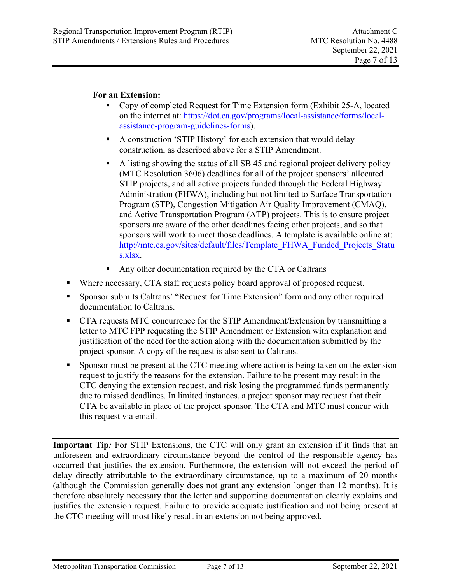# **For an Extension:**

- Copy of completed Request for Time Extension form (Exhibit 25-A, located on the internet at: https://dot.ca.gov/programs/local-assistance/forms/localassistance-program-guidelines-forms).
- A construction 'STIP History' for each extension that would delay construction, as described above for a STIP Amendment.
- A listing showing the status of all SB 45 and regional project delivery policy (MTC Resolution 3606) deadlines for all of the project sponsors' allocated STIP projects, and all active projects funded through the Federal Highway Administration (FHWA), including but not limited to Surface Transportation Program (STP), Congestion Mitigation Air Quality Improvement (CMAQ), and Active Transportation Program (ATP) projects. This is to ensure project sponsors are aware of the other deadlines facing other projects, and so that sponsors will work to meet those deadlines. A template is available online at: http://mtc.ca.gov/sites/default/files/Template\_FHWA\_Funded\_Projects\_Statu s.xlsx.
- Any other documentation required by the CTA or Caltrans
- Where necessary, CTA staff requests policy board approval of proposed request.
- Sponsor submits Caltrans' "Request for Time Extension" form and any other required documentation to Caltrans.
- CTA requests MTC concurrence for the STIP Amendment/Extension by transmitting a letter to MTC FPP requesting the STIP Amendment or Extension with explanation and justification of the need for the action along with the documentation submitted by the project sponsor. A copy of the request is also sent to Caltrans.
- Sponsor must be present at the CTC meeting where action is being taken on the extension request to justify the reasons for the extension. Failure to be present may result in the CTC denying the extension request, and risk losing the programmed funds permanently due to missed deadlines. In limited instances, a project sponsor may request that their CTA be available in place of the project sponsor. The CTA and MTC must concur with this request via email.

**Important Tip***:* For STIP Extensions, the CTC will only grant an extension if it finds that an unforeseen and extraordinary circumstance beyond the control of the responsible agency has occurred that justifies the extension. Furthermore, the extension will not exceed the period of delay directly attributable to the extraordinary circumstance, up to a maximum of 20 months (although the Commission generally does not grant any extension longer than 12 months). It is therefore absolutely necessary that the letter and supporting documentation clearly explains and justifies the extension request. Failure to provide adequate justification and not being present at the CTC meeting will most likely result in an extension not being approved.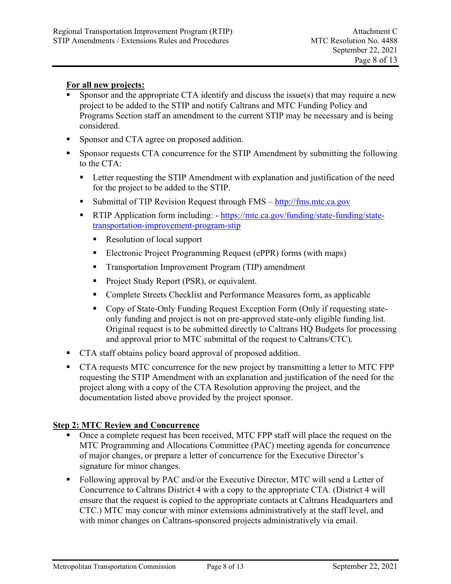### **For all new projects:**

- Sponsor and the appropriate CTA identify and discuss the issue(s) that may require a new project to be added to the STIP and notify Caltrans and MTC Funding Policy and Programs Section staff an amendment to the current STIP may be necessary and is being considered.
- **Sponsor and CTA agree on proposed addition.**
- Sponsor requests CTA concurrence for the STIP Amendment by submitting the following to the CTA:
	- **EXTER 1** Letter requesting the STIP Amendment with explanation and justification of the need for the project to be added to the STIP.
	- Submittal of TIP Revision Request through  $FMS \frac{http://fms.mtc.ca.gov)}{http://fms.mtc.ca.gov)}$
	- **RTIP Application form including:** https://mtc.ca.gov/funding/state-funding/statetransportation-improvement-program-stip
		- Resolution of local support
		- Electronic Project Programming Request (ePPR) forms (with maps)
		- **Transportation Improvement Program (TIP) amendment**
		- **Project Study Report (PSR), or equivalent.**
		- Complete Streets Checklist and Performance Measures form, as applicable
		- Copy of State-Only Funding Request Exception Form (Only if requesting stateonly funding and project is not on pre-approved state-only eligible funding list. Original request is to be submitted directly to Caltrans HQ Budgets for processing and approval prior to MTC submittal of the request to Caltrans/CTC).
- **CTA** staff obtains policy board approval of proposed addition.
- CTA requests MTC concurrence for the new project by transmitting a letter to MTC FPP requesting the STIP Amendment with an explanation and justification of the need for the project along with a copy of the CTA Resolution approving the project, and the documentation listed above provided by the project sponsor.

# **Step 2: MTC Review and Concurrence**

- Once a complete request has been received, MTC FPP staff will place the request on the MTC Programming and Allocations Committee (PAC) meeting agenda for concurrence of major changes, or prepare a letter of concurrence for the Executive Director's signature for minor changes.
- Following approval by PAC and/or the Executive Director, MTC will send a Letter of Concurrence to Caltrans District 4 with a copy to the appropriate CTA. (District 4 will ensure that the request is copied to the appropriate contacts at Caltrans Headquarters and CTC.) MTC may concur with minor extensions administratively at the staff level, and with minor changes on Caltrans-sponsored projects administratively via email.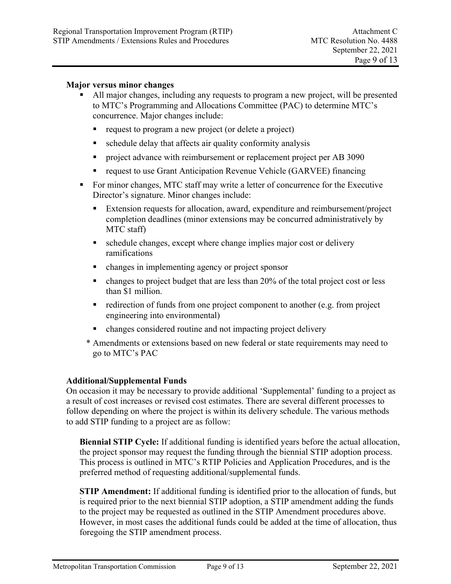## **Major versus minor changes**

- All major changes, including any requests to program a new project, will be presented to MTC's Programming and Allocations Committee (PAC) to determine MTC's concurrence. Major changes include:
	- request to program a new project (or delete a project)
	- schedule delay that affects air quality conformity analysis
	- **PEDROOF** project advance with reimbursement or replacement project per AB 3090
	- request to use Grant Anticipation Revenue Vehicle (GARVEE) financing
- For minor changes, MTC staff may write a letter of concurrence for the Executive Director's signature. Minor changes include:
	- Extension requests for allocation, award, expenditure and reimbursement/project completion deadlines (minor extensions may be concurred administratively by MTC staff)
	- schedule changes, except where change implies major cost or delivery ramifications
	- changes in implementing agency or project sponsor
	- $\blacksquare$  changes to project budget that are less than 20% of the total project cost or less than \$1 million.
	- $\blacksquare$  redirection of funds from one project component to another (e.g. from project engineering into environmental)
	- changes considered routine and not impacting project delivery
	- \* Amendments or extensions based on new federal or state requirements may need to go to MTC's PAC

#### **Additional/Supplemental Funds**

On occasion it may be necessary to provide additional 'Supplemental' funding to a project as a result of cost increases or revised cost estimates. There are several different processes to follow depending on where the project is within its delivery schedule. The various methods to add STIP funding to a project are as follow:

**Biennial STIP Cycle:** If additional funding is identified years before the actual allocation, the project sponsor may request the funding through the biennial STIP adoption process. This process is outlined in MTC's RTIP Policies and Application Procedures, and is the preferred method of requesting additional/supplemental funds.

**STIP Amendment:** If additional funding is identified prior to the allocation of funds, but is required prior to the next biennial STIP adoption, a STIP amendment adding the funds to the project may be requested as outlined in the STIP Amendment procedures above. However, in most cases the additional funds could be added at the time of allocation, thus foregoing the STIP amendment process.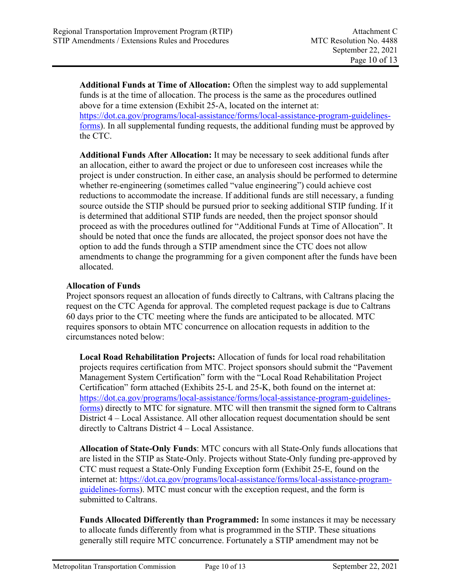**Additional Funds at Time of Allocation:** Often the simplest way to add supplemental funds is at the time of allocation. The process is the same as the procedures outlined above for a time extension (Exhibit 25-A, located on the internet at: https://dot.ca.gov/programs/local-assistance/forms/local-assistance-program-guidelinesforms). In all supplemental funding requests, the additional funding must be approved by the CTC.

**Additional Funds After Allocation:** It may be necessary to seek additional funds after an allocation, either to award the project or due to unforeseen cost increases while the project is under construction. In either case, an analysis should be performed to determine whether re-engineering (sometimes called "value engineering") could achieve cost reductions to accommodate the increase. If additional funds are still necessary, a funding source outside the STIP should be pursued prior to seeking additional STIP funding. If it is determined that additional STIP funds are needed, then the project sponsor should proceed as with the procedures outlined for "Additional Funds at Time of Allocation". It should be noted that once the funds are allocated, the project sponsor does not have the option to add the funds through a STIP amendment since the CTC does not allow amendments to change the programming for a given component after the funds have been allocated.

# **Allocation of Funds**

Project sponsors request an allocation of funds directly to Caltrans, with Caltrans placing the request on the CTC Agenda for approval. The completed request package is due to Caltrans 60 days prior to the CTC meeting where the funds are anticipated to be allocated. MTC requires sponsors to obtain MTC concurrence on allocation requests in addition to the circumstances noted below:

**Local Road Rehabilitation Projects:** Allocation of funds for local road rehabilitation projects requires certification from MTC. Project sponsors should submit the "Pavement Management System Certification" form with the "Local Road Rehabilitation Project Certification" form attached (Exhibits 25-L and 25-K, both found on the internet at: https://dot.ca.gov/programs/local-assistance/forms/local-assistance-program-guidelinesforms) directly to MTC for signature. MTC will then transmit the signed form to Caltrans District 4 – Local Assistance. All other allocation request documentation should be sent directly to Caltrans District 4 – Local Assistance.

**Allocation of State-Only Funds**: MTC concurs with all State-Only funds allocations that are listed in the STIP as State-Only. Projects without State-Only funding pre-approved by CTC must request a State-Only Funding Exception form (Exhibit 25-E, found on the internet at: https://dot.ca.gov/programs/local-assistance/forms/local-assistance-programguidelines-forms). MTC must concur with the exception request, and the form is submitted to Caltrans.

**Funds Allocated Differently than Programmed:** In some instances it may be necessary to allocate funds differently from what is programmed in the STIP. These situations generally still require MTC concurrence. Fortunately a STIP amendment may not be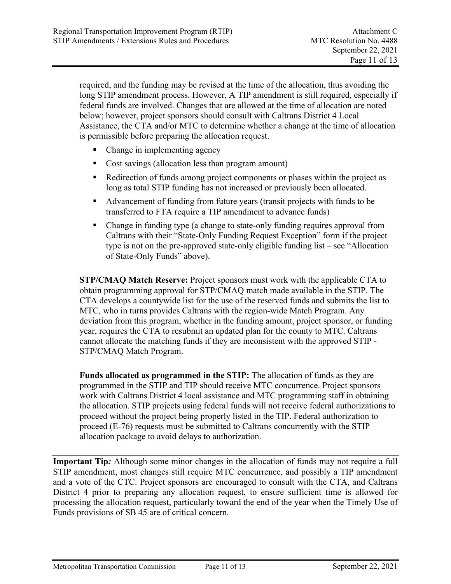required, and the funding may be revised at the time of the allocation, thus avoiding the long STIP amendment process. However, A TIP amendment is still required, especially if federal funds are involved. Changes that are allowed at the time of allocation are noted below; however, project sponsors should consult with Caltrans District 4 Local Assistance, the CTA and/or MTC to determine whether a change at the time of allocation is permissible before preparing the allocation request.

- Change in implementing agency
- Cost savings (allocation less than program amount)
- Redirection of funds among project components or phases within the project as long as total STIP funding has not increased or previously been allocated.
- Advancement of funding from future years (transit projects with funds to be transferred to FTA require a TIP amendment to advance funds)
- Change in funding type (a change to state-only funding requires approval from Caltrans with their "State-Only Funding Request Exception" form if the project type is not on the pre-approved state-only eligible funding list – see "Allocation of State-Only Funds" above).

**STP/CMAQ Match Reserve:** Project sponsors must work with the applicable CTA to obtain programming approval for STP/CMAQ match made available in the STIP. The CTA develops a countywide list for the use of the reserved funds and submits the list to MTC, who in turns provides Caltrans with the region-wide Match Program. Any deviation from this program, whether in the funding amount, project sponsor, or funding year, requires the CTA to resubmit an updated plan for the county to MTC. Caltrans cannot allocate the matching funds if they are inconsistent with the approved STIP - STP/CMAQ Match Program.

**Funds allocated as programmed in the STIP:** The allocation of funds as they are programmed in the STIP and TIP should receive MTC concurrence. Project sponsors work with Caltrans District 4 local assistance and MTC programming staff in obtaining the allocation. STIP projects using federal funds will not receive federal authorizations to proceed without the project being properly listed in the TIP. Federal authorization to proceed (E-76) requests must be submitted to Caltrans concurrently with the STIP allocation package to avoid delays to authorization.

**Important Tip***:* Although some minor changes in the allocation of funds may not require a full STIP amendment, most changes still require MTC concurrence, and possibly a TIP amendment and a vote of the CTC. Project sponsors are encouraged to consult with the CTA, and Caltrans District 4 prior to preparing any allocation request, to ensure sufficient time is allowed for processing the allocation request, particularly toward the end of the year when the Timely Use of Funds provisions of SB 45 are of critical concern.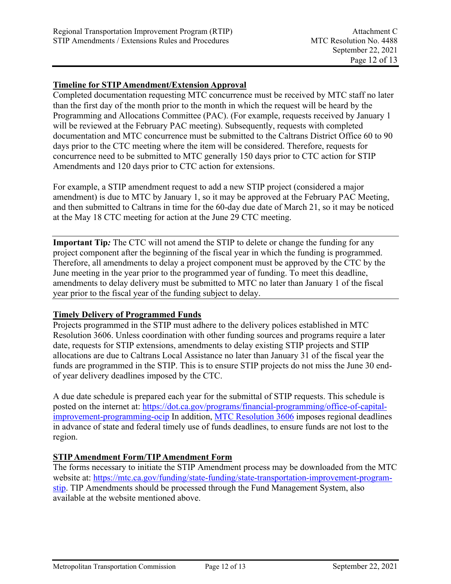## **Timeline for STIP Amendment/Extension Approval**

Completed documentation requesting MTC concurrence must be received by MTC staff no later than the first day of the month prior to the month in which the request will be heard by the Programming and Allocations Committee (PAC). (For example, requests received by January 1 will be reviewed at the February PAC meeting). Subsequently, requests with completed documentation and MTC concurrence must be submitted to the Caltrans District Office 60 to 90 days prior to the CTC meeting where the item will be considered. Therefore, requests for concurrence need to be submitted to MTC generally 150 days prior to CTC action for STIP Amendments and 120 days prior to CTC action for extensions.

For example, a STIP amendment request to add a new STIP project (considered a major amendment) is due to MTC by January 1, so it may be approved at the February PAC Meeting, and then submitted to Caltrans in time for the 60-day due date of March 21, so it may be noticed at the May 18 CTC meeting for action at the June 29 CTC meeting.

**Important Tip***:* The CTC will not amend the STIP to delete or change the funding for any project component after the beginning of the fiscal year in which the funding is programmed. Therefore, all amendments to delay a project component must be approved by the CTC by the June meeting in the year prior to the programmed year of funding. To meet this deadline, amendments to delay delivery must be submitted to MTC no later than January 1 of the fiscal year prior to the fiscal year of the funding subject to delay.

#### **Timely Delivery of Programmed Funds**

Projects programmed in the STIP must adhere to the delivery polices established in MTC Resolution 3606. Unless coordination with other funding sources and programs require a later date, requests for STIP extensions, amendments to delay existing STIP projects and STIP allocations are due to Caltrans Local Assistance no later than January 31 of the fiscal year the funds are programmed in the STIP. This is to ensure STIP projects do not miss the June 30 endof year delivery deadlines imposed by the CTC.

A due date schedule is prepared each year for the submittal of STIP requests. This schedule is posted on the internet at: https://dot.ca.gov/programs/financial-programming/office-of-capitalimprovement-programming-ocip In addition, MTC Resolution 3606 imposes regional deadlines in advance of state and federal timely use of funds deadlines, to ensure funds are not lost to the region.

# **STIP Amendment Form/TIP Amendment Form**

The forms necessary to initiate the STIP Amendment process may be downloaded from the MTC website at: https://mtc.ca.gov/funding/state-funding/state-transportation-improvement-programstip. TIP Amendments should be processed through the Fund Management System, also available at the website mentioned above.